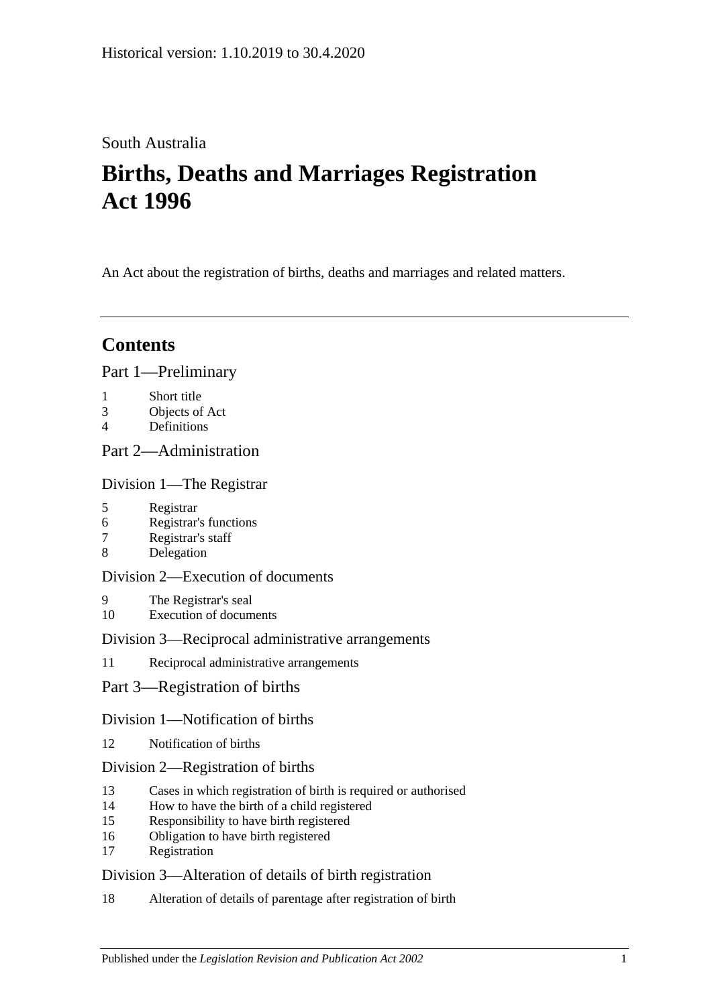## South Australia

# **Births, Deaths and Marriages Registration Act 1996**

An Act about the registration of births, deaths and marriages and related matters.

## **Contents**

### [Part 1—Preliminary](#page-3-0)

- 1 [Short title](#page-3-1)
- 3 [Objects of Act](#page-3-2)
- 4 [Definitions](#page-3-3)

## [Part 2—Administration](#page-5-0)

### [Division 1—The Registrar](#page-5-1)

- 5 [Registrar](#page-5-2)
- 6 [Registrar's functions](#page-5-3)
- 7 [Registrar's staff](#page-5-4)
- 8 [Delegation](#page-6-0)

## [Division 2—Execution of documents](#page-6-1)

- 9 [The Registrar's seal](#page-6-2)
- 10 [Execution of documents](#page-6-3)

### [Division 3—Reciprocal administrative arrangements](#page-6-4)

11 [Reciprocal administrative arrangements](#page-6-5)

## [Part 3—Registration of births](#page-7-0)

### [Division 1—Notification of births](#page-7-1)

12 [Notification of births](#page-7-2)

### [Division 2—Registration of births](#page-8-0)

- 13 [Cases in which registration of birth is required or authorised](#page-8-1)
- 14 [How to have the birth of a child registered](#page-8-2)
- 15 [Responsibility to have birth registered](#page-9-0)
- 16 [Obligation to have birth registered](#page-9-1)
- 17 [Registration](#page-9-2)

### [Division 3—Alteration of details of birth registration](#page-9-3)

18 [Alteration of details of parentage after registration of birth](#page-9-4)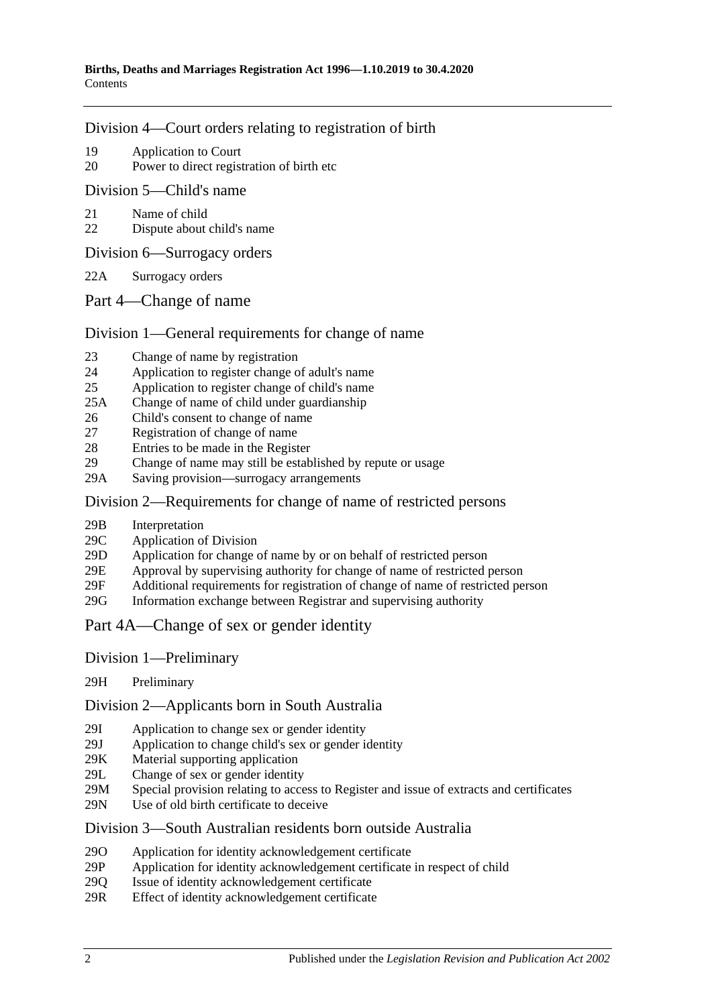#### [Division 4—Court orders relating to registration of birth](#page-10-0)

- 19 [Application to Court](#page-10-1)
- 20 [Power to direct registration of birth etc](#page-10-2)

[Division 5—Child's name](#page-10-3)

- 21 [Name of child](#page-10-4)
- 22 [Dispute about child's name](#page-11-0)

[Division 6—Surrogacy orders](#page-11-1)

- 22A [Surrogacy orders](#page-11-2)
- [Part 4—Change of name](#page-12-0)

### [Division 1—General requirements for change of name](#page-12-1)

- 23 [Change of name by registration](#page-12-2)
- 24 [Application to register change of adult's name](#page-12-3)
- 25 [Application to register change of child's name](#page-12-4)
- 25A [Change of name of child under guardianship](#page-13-0)
- 26 [Child's consent to change of name](#page-14-0)
- 27 [Registration of change of name](#page-14-1)
- 28 [Entries to be made in the Register](#page-15-0)
- 29 [Change of name may still be established by repute or usage](#page-15-1)
- 29A [Saving provision—surrogacy arrangements](#page-15-2)

#### [Division 2—Requirements for change of name of restricted persons](#page-15-3)

- 29B [Interpretation](#page-15-4)
- 29C [Application of Division](#page-16-0)
- 29D Application for change [of name by or on behalf of restricted person](#page-16-1)
- 29E [Approval by supervising authority for change of name of restricted person](#page-17-0)
- 29F [Additional requirements for registration of change of name of restricted person](#page-18-0)
- 29G [Information exchange between Registrar and supervising authority](#page-18-1)
- [Part 4A—Change of sex or gender identity](#page-18-2)
- Division [1—Preliminary](#page-18-3)
- 29H [Preliminary](#page-18-4)

Division [2—Applicants born in South Australia](#page-19-0)

- 29I [Application to change sex or gender identity](#page-19-1)
- 29J [Application to change child's sex or gender identity](#page-19-2)
- 29K [Material supporting application](#page-20-0)
- 29L [Change of sex or gender identity](#page-20-1)
- 29M [Special provision relating to access to Register and issue of extracts and certificates](#page-20-2)
- 29N [Use of old birth certificate to deceive](#page-21-0)

### Division [3—South Australian residents born outside Australia](#page-21-1)

- 29O [Application for identity acknowledgement certificate](#page-21-2)
- 29P [Application for identity acknowledgement certificate in respect of child](#page-21-3)
- 29Q [Issue of identity acknowledgement certificate](#page-22-0)<br>29R Effect of identity acknowledgement certificate
- [Effect of identity acknowledgement certificate](#page-22-1)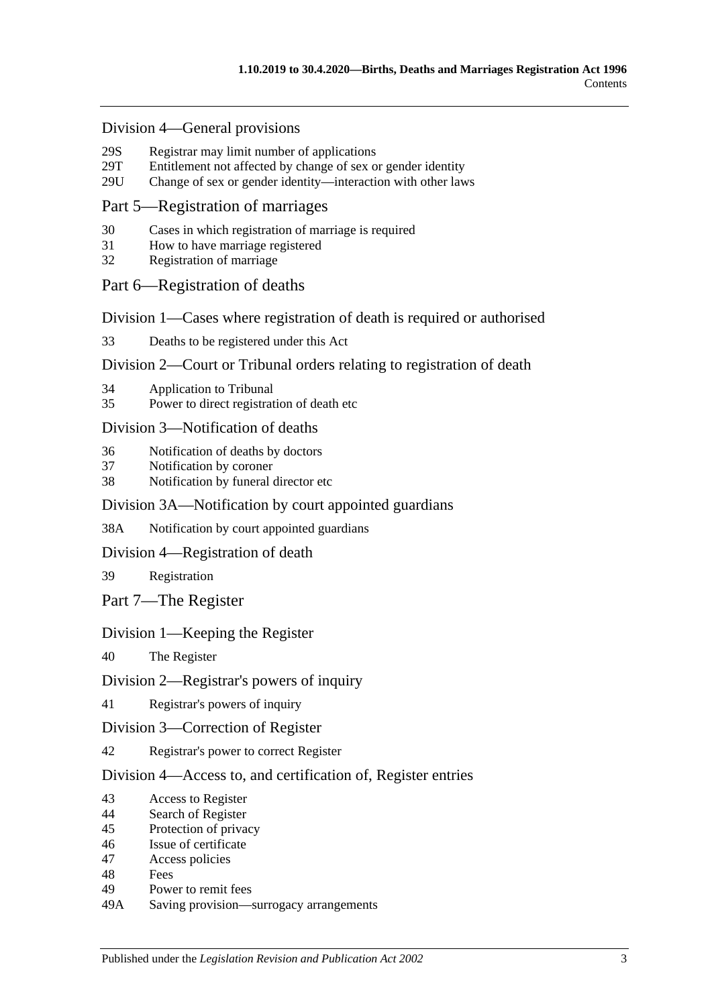#### Division [4—General provisions](#page-22-2)

- 29S [Registrar may limit number of applications](#page-22-3)<br>29T Entitlement not affected by change of sex of
- [Entitlement not affected by change of sex or gender identity](#page-23-0)
- 29U [Change of sex or gender identity—interaction with other laws](#page-23-1)

#### [Part 5—Registration of marriages](#page-23-2)

- 30 [Cases in which registration of marriage is required](#page-23-3)
- 31 [How to have marriage registered](#page-23-4)
- 32 [Registration of marriage](#page-24-0)

#### [Part 6—Registration of deaths](#page-24-1)

[Division 1—Cases where registration of death is required or authorised](#page-24-2)

33 [Deaths to be registered under this Act](#page-24-3)

#### [Division 2—Court or Tribunal orders relating to registration of death](#page-24-4)

- 34 [Application to Tribunal](#page-24-5)
- 35 [Power to direct registration of death etc](#page-24-6)

#### [Division 3—Notification of deaths](#page-25-0)

- 36 [Notification of deaths by doctors](#page-25-1)
- 37 [Notification by coroner](#page-25-2)
- 38 [Notification by funeral director etc](#page-26-0)

#### [Division 3A—Notification by court appointed guardians](#page-26-1)

38A [Notification by court appointed guardians](#page-26-2)

#### [Division 4—Registration of death](#page-27-0)

39 [Registration](#page-27-1)

[Part 7—The Register](#page-27-2)

#### [Division 1—Keeping the Register](#page-27-3)

40 [The Register](#page-27-4)

#### [Division 2—Registrar's powers of inquiry](#page-28-0)

41 [Registrar's powers of inquiry](#page-28-1)

#### [Division 3—Correction of Register](#page-28-2)

42 [Registrar's power to correct Register](#page-28-3)

#### [Division 4—Access to, and certification of, Register entries](#page-28-4)

- 43 [Access to Register](#page-28-5)
- 44 [Search of Register](#page-29-0)
- 45 [Protection of privacy](#page-29-1)
- 46 [Issue of certificate](#page-29-2)
- 47 [Access policies](#page-30-0)
- 48 [Fees](#page-30-1)
- 49 [Power to remit fees](#page-30-2)
- 49A [Saving provision—surrogacy arrangements](#page-30-3)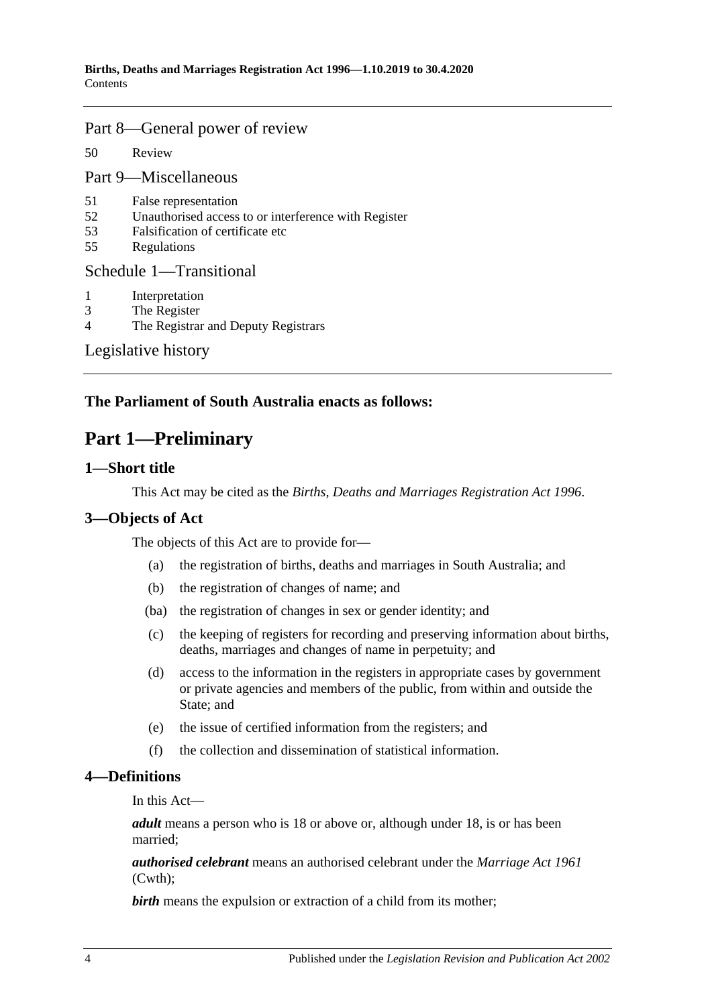#### [Part 8—General power of review](#page-30-4)

50 [Review](#page-30-5)

[Part 9—Miscellaneous](#page-31-0)

- 51 [False representation](#page-31-1)
- 52 [Unauthorised access to or interference with Register](#page-31-2)
- 53 [Falsification of certificate etc](#page-31-3)
- 55 [Regulations](#page-31-4)

#### [Schedule 1—Transitional](#page-31-5)

- 1 [Interpretation](#page-31-6)
- 3 [The Register](#page-32-0)
- 4 [The Registrar and Deputy Registrars](#page-32-1)

[Legislative history](#page-33-0)

## <span id="page-3-0"></span>**The Parliament of South Australia enacts as follows:**

## **Part 1—Preliminary**

#### <span id="page-3-1"></span>**1—Short title**

This Act may be cited as the *Births, Deaths and Marriages Registration Act 1996*.

### <span id="page-3-2"></span>**3—Objects of Act**

The objects of this Act are to provide for—

- (a) the registration of births, deaths and marriages in South Australia; and
- (b) the registration of changes of name; and
- (ba) the registration of changes in sex or gender identity; and
- (c) the keeping of registers for recording and preserving information about births, deaths, marriages and changes of name in perpetuity; and
- (d) access to the information in the registers in appropriate cases by government or private agencies and members of the public, from within and outside the State; and
- (e) the issue of certified information from the registers; and
- (f) the collection and dissemination of statistical information.

#### <span id="page-3-3"></span>**4—Definitions**

In this Act—

*adult* means a person who is 18 or above or, although under 18, is or has been married;

*authorised celebrant* means an authorised celebrant under the *Marriage Act 1961* (Cwth);

**birth** means the expulsion or extraction of a child from its mother;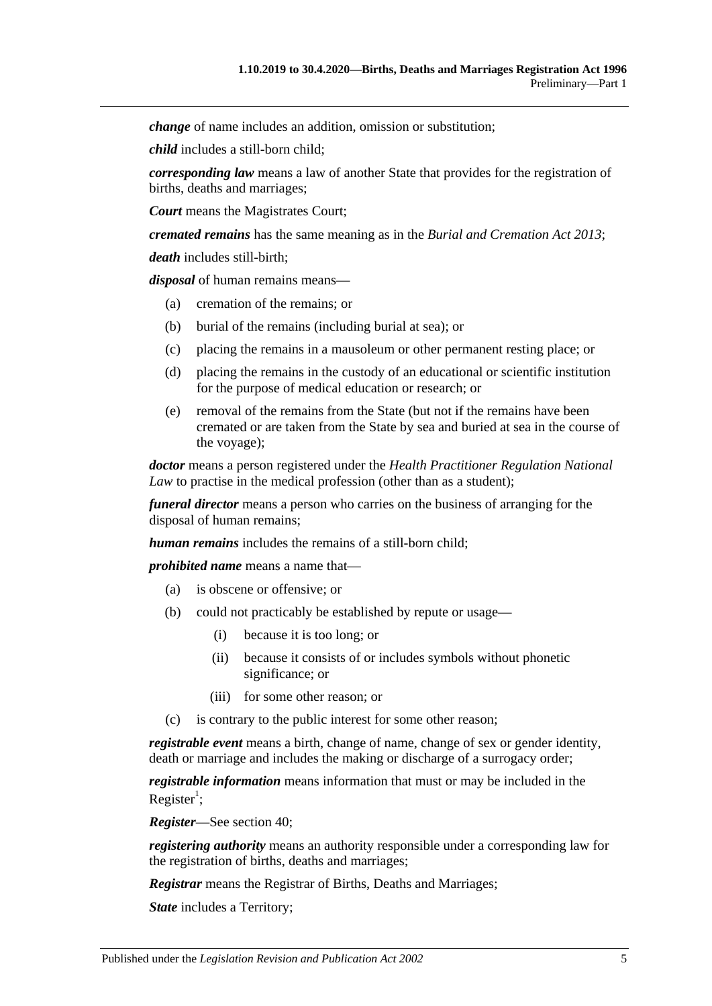*change* of name includes an addition, omission or substitution;

*child* includes a still-born child;

*corresponding law* means a law of another State that provides for the registration of births, deaths and marriages;

*Court* means the Magistrates Court;

*cremated remains* has the same meaning as in the *[Burial and Cremation Act](http://www.legislation.sa.gov.au/index.aspx?action=legref&type=act&legtitle=Burial%20and%20Cremation%20Act%202013) 2013*;

*death* includes still-birth;

*disposal* of human remains means—

- (a) cremation of the remains; or
- (b) burial of the remains (including burial at sea); or
- (c) placing the remains in a mausoleum or other permanent resting place; or
- (d) placing the remains in the custody of an educational or scientific institution for the purpose of medical education or research; or
- (e) removal of the remains from the State (but not if the remains have been cremated or are taken from the State by sea and buried at sea in the course of the voyage);

*doctor* means a person registered under the *Health Practitioner Regulation National Law* to practise in the medical profession (other than as a student);

*funeral director* means a person who carries on the business of arranging for the disposal of human remains;

*human remains* includes the remains of a still-born child;

*prohibited name* means a name that—

- (a) is obscene or offensive; or
- (b) could not practicably be established by repute or usage—
	- (i) because it is too long; or
	- (ii) because it consists of or includes symbols without phonetic significance; or
	- (iii) for some other reason; or
- (c) is contrary to the public interest for some other reason;

*registrable event* means a birth, change of name, change of sex or gender identity, death or marriage and includes the making or discharge of a surrogacy order;

*registrable information* means information that must or may be included in the Register<sup>1</sup>;

*Register*—See [section](#page-27-4) 40;

*registering authority* means an authority responsible under a corresponding law for the registration of births, deaths and marriages;

*Registrar* means the Registrar of Births, Deaths and Marriages;

*State* includes a Territory;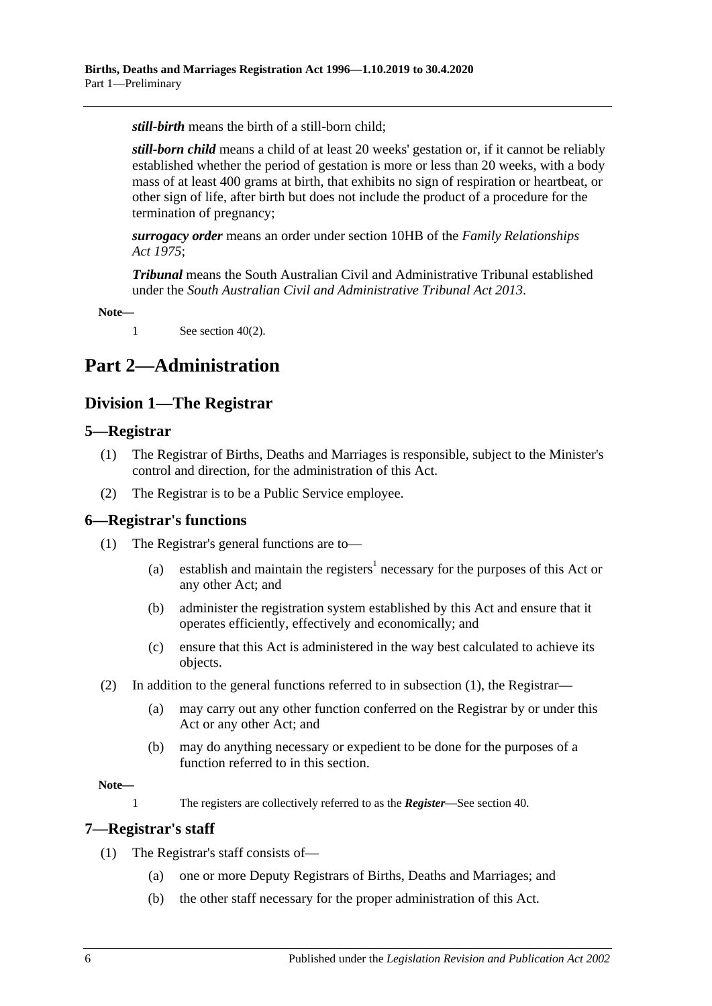*still-birth* means the birth of a still-born child;

*still-born child* means a child of at least 20 weeks' gestation or, if it cannot be reliably established whether the period of gestation is more or less than 20 weeks, with a body mass of at least 400 grams at birth, that exhibits no sign of respiration or heartbeat, or other sign of life, after birth but does not include the product of a procedure for the termination of pregnancy;

*surrogacy order* means an order under section 10HB of the *[Family Relationships](http://www.legislation.sa.gov.au/index.aspx?action=legref&type=act&legtitle=Family%20Relationships%20Act%201975)  Act [1975](http://www.legislation.sa.gov.au/index.aspx?action=legref&type=act&legtitle=Family%20Relationships%20Act%201975)*;

*Tribunal* means the South Australian Civil and Administrative Tribunal established under the *[South Australian Civil and Administrative Tribunal Act](http://www.legislation.sa.gov.au/index.aspx?action=legref&type=act&legtitle=South%20Australian%20Civil%20and%20Administrative%20Tribunal%20Act%202013) 2013*.

**Note—**

1 See [section](#page-27-5) 40(2).

## <span id="page-5-1"></span><span id="page-5-0"></span>**Part 2—Administration**

## **Division 1—The Registrar**

#### <span id="page-5-2"></span>**5—Registrar**

- (1) The Registrar of Births, Deaths and Marriages is responsible, subject to the Minister's control and direction, for the administration of this Act.
- (2) The Registrar is to be a Public Service employee.

#### <span id="page-5-5"></span><span id="page-5-3"></span>**6—Registrar's functions**

- (1) The Registrar's general functions are to—
	- (a) establish and maintain the registers<sup>1</sup> necessary for the purposes of this Act or any other Act; and
	- (b) administer the registration system established by this Act and ensure that it operates efficiently, effectively and economically; and
	- (c) ensure that this Act is administered in the way best calculated to achieve its objects.
- (2) In addition to the general functions referred to in [subsection](#page-5-5) (1), the Registrar—
	- (a) may carry out any other function conferred on the Registrar by or under this Act or any other Act; and
	- (b) may do anything necessary or expedient to be done for the purposes of a function referred to in this section.

#### **Note—**

1 The registers are collectively referred to as the *Register*—See [section](#page-27-4) 40.

#### <span id="page-5-4"></span>**7—Registrar's staff**

- (1) The Registrar's staff consists of—
	- (a) one or more Deputy Registrars of Births, Deaths and Marriages; and
	- (b) the other staff necessary for the proper administration of this Act.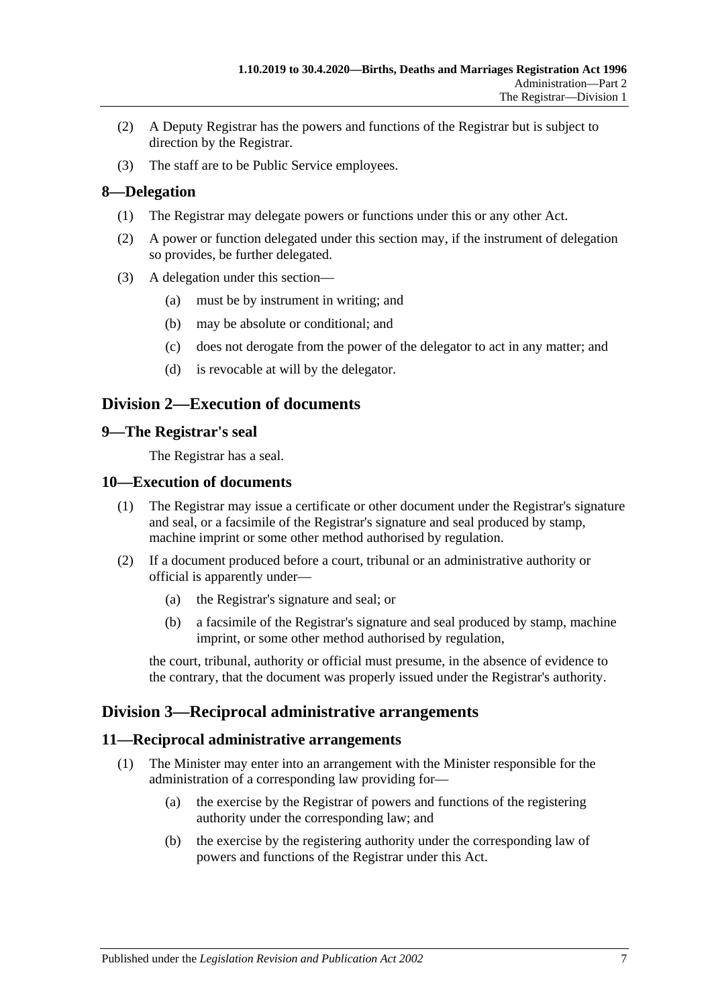- (2) A Deputy Registrar has the powers and functions of the Registrar but is subject to direction by the Registrar.
- (3) The staff are to be Public Service employees.

### <span id="page-6-0"></span>**8—Delegation**

- (1) The Registrar may delegate powers or functions under this or any other Act.
- (2) A power or function delegated under this section may, if the instrument of delegation so provides, be further delegated.
- (3) A delegation under this section—
	- (a) must be by instrument in writing; and
	- (b) may be absolute or conditional; and
	- (c) does not derogate from the power of the delegator to act in any matter; and
	- (d) is revocable at will by the delegator.

## <span id="page-6-1"></span>**Division 2—Execution of documents**

#### <span id="page-6-2"></span>**9—The Registrar's seal**

The Registrar has a seal.

#### <span id="page-6-3"></span>**10—Execution of documents**

- (1) The Registrar may issue a certificate or other document under the Registrar's signature and seal, or a facsimile of the Registrar's signature and seal produced by stamp, machine imprint or some other method authorised by regulation.
- (2) If a document produced before a court, tribunal or an administrative authority or official is apparently under—
	- (a) the Registrar's signature and seal; or
	- (b) a facsimile of the Registrar's signature and seal produced by stamp, machine imprint, or some other method authorised by regulation,

the court, tribunal, authority or official must presume, in the absence of evidence to the contrary, that the document was properly issued under the Registrar's authority.

### <span id="page-6-4"></span>**Division 3—Reciprocal administrative arrangements**

#### <span id="page-6-5"></span>**11—Reciprocal administrative arrangements**

- (1) The Minister may enter into an arrangement with the Minister responsible for the administration of a corresponding law providing for—
	- (a) the exercise by the Registrar of powers and functions of the registering authority under the corresponding law; and
	- (b) the exercise by the registering authority under the corresponding law of powers and functions of the Registrar under this Act.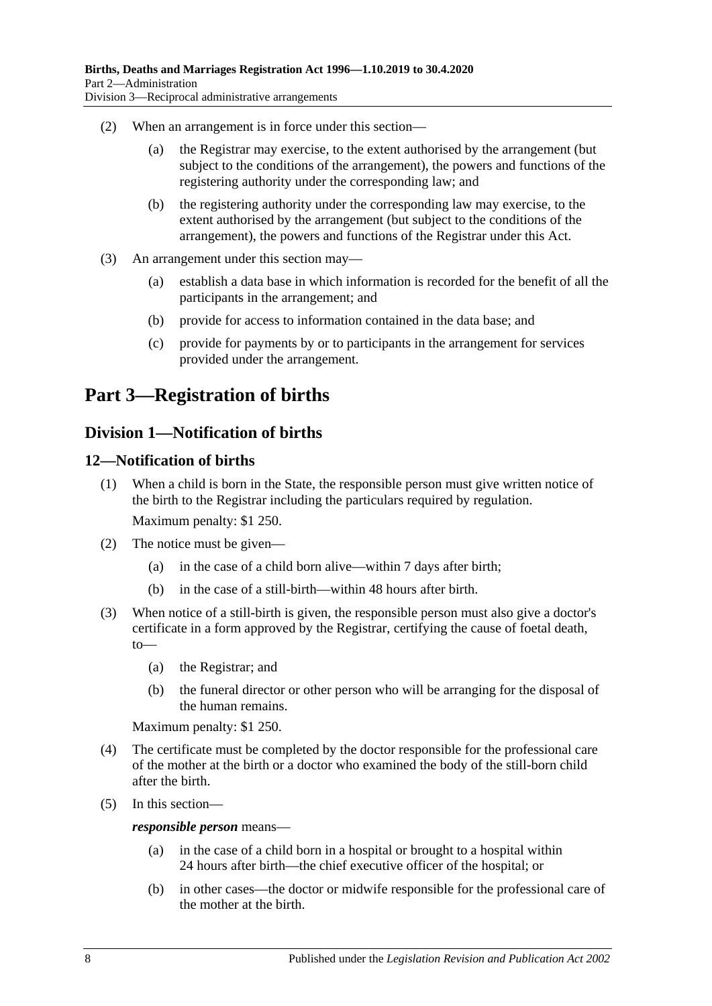- (2) When an arrangement is in force under this section—
	- (a) the Registrar may exercise, to the extent authorised by the arrangement (but subject to the conditions of the arrangement), the powers and functions of the registering authority under the corresponding law; and
	- (b) the registering authority under the corresponding law may exercise, to the extent authorised by the arrangement (but subject to the conditions of the arrangement), the powers and functions of the Registrar under this Act.
- (3) An arrangement under this section may—
	- (a) establish a data base in which information is recorded for the benefit of all the participants in the arrangement; and
	- (b) provide for access to information contained in the data base; and
	- (c) provide for payments by or to participants in the arrangement for services provided under the arrangement.

## <span id="page-7-0"></span>**Part 3—Registration of births**

## <span id="page-7-1"></span>**Division 1—Notification of births**

### <span id="page-7-2"></span>**12—Notification of births**

- (1) When a child is born in the State, the responsible person must give written notice of the birth to the Registrar including the particulars required by regulation. Maximum penalty: \$1 250.
- (2) The notice must be given—
	- (a) in the case of a child born alive—within 7 days after birth;
	- (b) in the case of a still-birth—within 48 hours after birth.
- (3) When notice of a still-birth is given, the responsible person must also give a doctor's certificate in a form approved by the Registrar, certifying the cause of foetal death, to—
	- (a) the Registrar; and
	- (b) the funeral director or other person who will be arranging for the disposal of the human remains.

Maximum penalty: \$1 250.

- (4) The certificate must be completed by the doctor responsible for the professional care of the mother at the birth or a doctor who examined the body of the still-born child after the birth.
- (5) In this section—

#### *responsible person* means—

- (a) in the case of a child born in a hospital or brought to a hospital within 24 hours after birth—the chief executive officer of the hospital; or
- (b) in other cases—the doctor or midwife responsible for the professional care of the mother at the birth.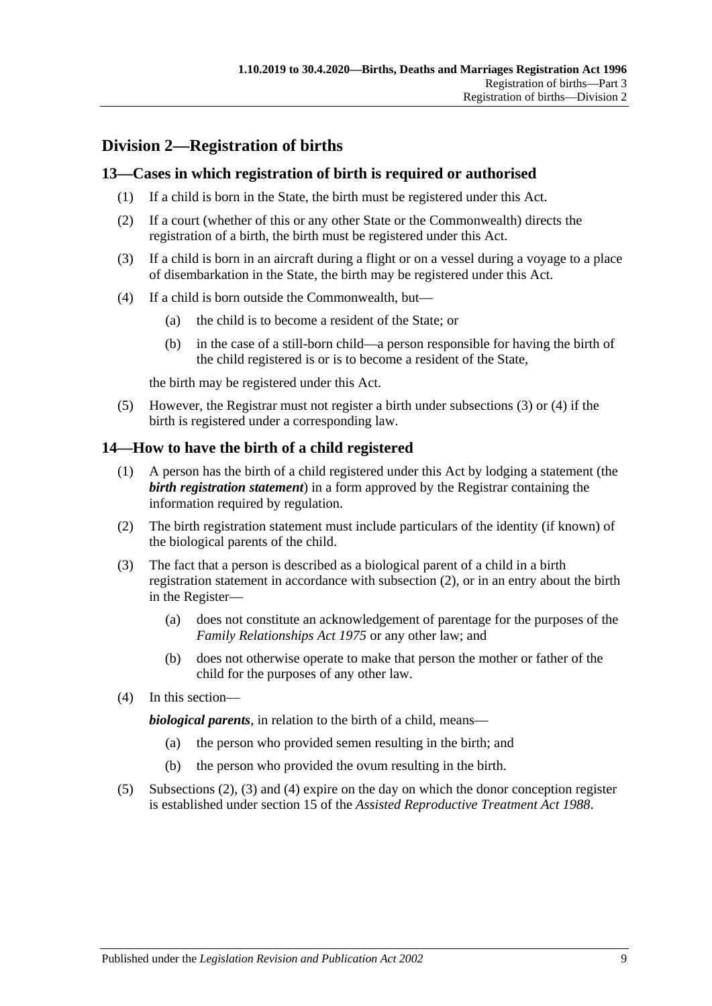## <span id="page-8-0"></span>**Division 2—Registration of births**

### <span id="page-8-1"></span>**13—Cases in which registration of birth is required or authorised**

- (1) If a child is born in the State, the birth must be registered under this Act.
- (2) If a court (whether of this or any other State or the Commonwealth) directs the registration of a birth, the birth must be registered under this Act.
- <span id="page-8-3"></span>(3) If a child is born in an aircraft during a flight or on a vessel during a voyage to a place of disembarkation in the State, the birth may be registered under this Act.
- <span id="page-8-4"></span>(4) If a child is born outside the Commonwealth, but—
	- (a) the child is to become a resident of the State; or
	- (b) in the case of a still-born child—a person responsible for having the birth of the child registered is or is to become a resident of the State,

the birth may be registered under this Act.

(5) However, the Registrar must not register a birth under [subsections](#page-8-3) (3) or [\(4\)](#page-8-4) if the birth is registered under a corresponding law.

### <span id="page-8-2"></span>**14—How to have the birth of a child registered**

- (1) A person has the birth of a child registered under this Act by lodging a statement (the *birth registration statement*) in a form approved by the Registrar containing the information required by regulation.
- <span id="page-8-5"></span>(2) The birth registration statement must include particulars of the identity (if known) of the biological parents of the child.
- <span id="page-8-6"></span>(3) The fact that a person is described as a biological parent of a child in a birth registration statement in accordance with [subsection](#page-8-5) (2), or in an entry about the birth in the Register—
	- (a) does not constitute an acknowledgement of parentage for the purposes of the *[Family Relationships Act](http://www.legislation.sa.gov.au/index.aspx?action=legref&type=act&legtitle=Family%20Relationships%20Act%201975) 1975* or any other law; and
	- (b) does not otherwise operate to make that person the mother or father of the child for the purposes of any other law.
- <span id="page-8-7"></span>(4) In this section—

*biological parents*, in relation to the birth of a child, means—

- (a) the person who provided semen resulting in the birth; and
- (b) the person who provided the ovum resulting in the birth.
- (5) [Subsections](#page-8-5) (2), [\(3\)](#page-8-6) and [\(4\)](#page-8-7) expire on the day on which the donor conception register is established under section 15 of the *[Assisted Reproductive Treatment Act](http://www.legislation.sa.gov.au/index.aspx?action=legref&type=act&legtitle=Assisted%20Reproductive%20Treatment%20Act%201988) 1988*.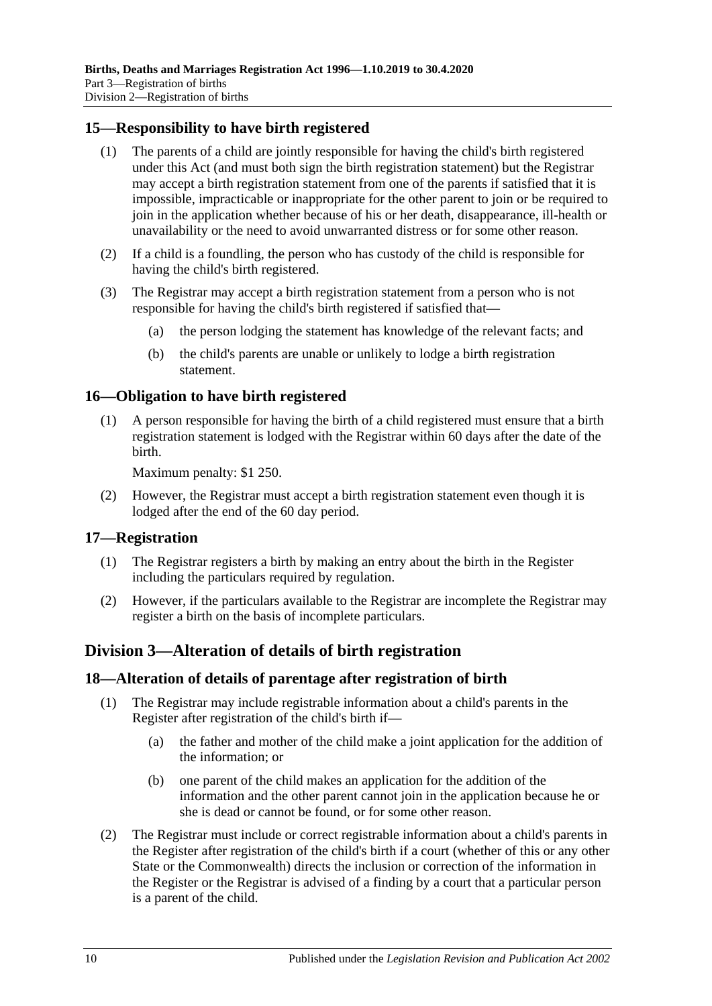## <span id="page-9-0"></span>**15—Responsibility to have birth registered**

- (1) The parents of a child are jointly responsible for having the child's birth registered under this Act (and must both sign the birth registration statement) but the Registrar may accept a birth registration statement from one of the parents if satisfied that it is impossible, impracticable or inappropriate for the other parent to join or be required to join in the application whether because of his or her death, disappearance, ill-health or unavailability or the need to avoid unwarranted distress or for some other reason.
- (2) If a child is a foundling, the person who has custody of the child is responsible for having the child's birth registered.
- (3) The Registrar may accept a birth registration statement from a person who is not responsible for having the child's birth registered if satisfied that—
	- (a) the person lodging the statement has knowledge of the relevant facts; and
	- (b) the child's parents are unable or unlikely to lodge a birth registration statement.

### <span id="page-9-1"></span>**16—Obligation to have birth registered**

(1) A person responsible for having the birth of a child registered must ensure that a birth registration statement is lodged with the Registrar within 60 days after the date of the birth.

Maximum penalty: \$1 250.

(2) However, the Registrar must accept a birth registration statement even though it is lodged after the end of the 60 day period.

#### <span id="page-9-2"></span>**17—Registration**

- (1) The Registrar registers a birth by making an entry about the birth in the Register including the particulars required by regulation.
- (2) However, if the particulars available to the Registrar are incomplete the Registrar may register a birth on the basis of incomplete particulars.

## <span id="page-9-3"></span>**Division 3—Alteration of details of birth registration**

#### <span id="page-9-4"></span>**18—Alteration of details of parentage after registration of birth**

- (1) The Registrar may include registrable information about a child's parents in the Register after registration of the child's birth if—
	- (a) the father and mother of the child make a joint application for the addition of the information; or
	- (b) one parent of the child makes an application for the addition of the information and the other parent cannot join in the application because he or she is dead or cannot be found, or for some other reason.
- (2) The Registrar must include or correct registrable information about a child's parents in the Register after registration of the child's birth if a court (whether of this or any other State or the Commonwealth) directs the inclusion or correction of the information in the Register or the Registrar is advised of a finding by a court that a particular person is a parent of the child.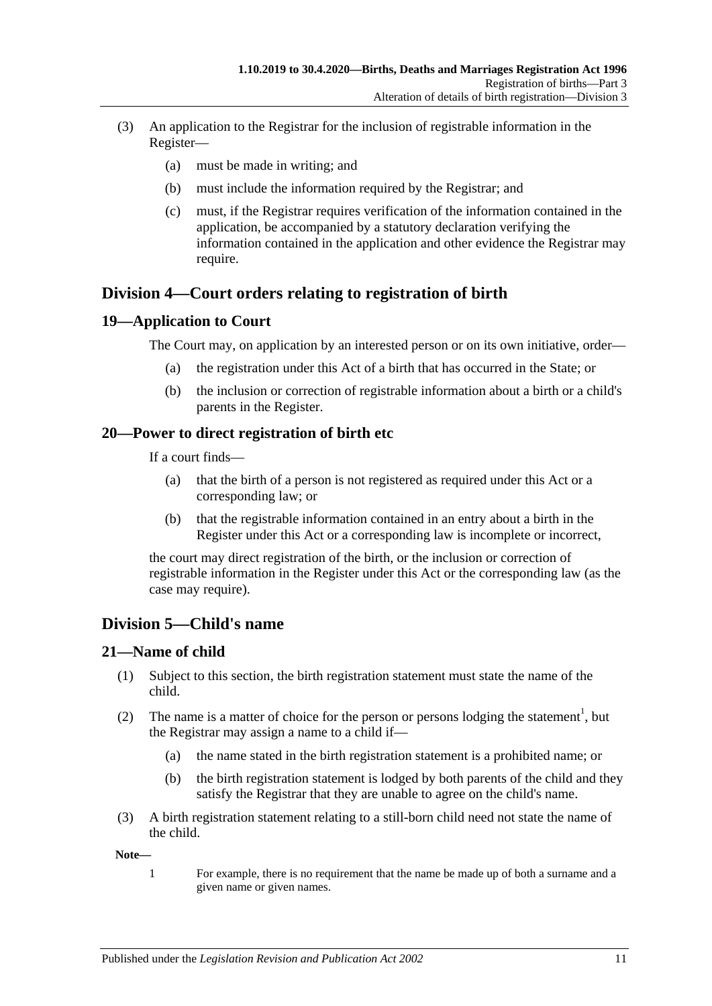- (3) An application to the Registrar for the inclusion of registrable information in the Register—
	- (a) must be made in writing; and
	- (b) must include the information required by the Registrar; and
	- (c) must, if the Registrar requires verification of the information contained in the application, be accompanied by a statutory declaration verifying the information contained in the application and other evidence the Registrar may require.

## <span id="page-10-0"></span>**Division 4—Court orders relating to registration of birth**

### <span id="page-10-1"></span>**19—Application to Court**

The Court may, on application by an interested person or on its own initiative, order—

- (a) the registration under this Act of a birth that has occurred in the State; or
- (b) the inclusion or correction of registrable information about a birth or a child's parents in the Register.

### <span id="page-10-2"></span>**20—Power to direct registration of birth etc**

If a court finds—

- (a) that the birth of a person is not registered as required under this Act or a corresponding law; or
- (b) that the registrable information contained in an entry about a birth in the Register under this Act or a corresponding law is incomplete or incorrect,

the court may direct registration of the birth, or the inclusion or correction of registrable information in the Register under this Act or the corresponding law (as the case may require).

## <span id="page-10-3"></span>**Division 5—Child's name**

### <span id="page-10-4"></span>**21—Name of child**

- (1) Subject to this section, the birth registration statement must state the name of the child.
- (2) The name is a matter of choice for the person or persons lodging the statement<sup>1</sup>, but the Registrar may assign a name to a child if—
	- (a) the name stated in the birth registration statement is a prohibited name; or
	- (b) the birth registration statement is lodged by both parents of the child and they satisfy the Registrar that they are unable to agree on the child's name.
- (3) A birth registration statement relating to a still-born child need not state the name of the child.

**Note—**

1 For example, there is no requirement that the name be made up of both a surname and a given name or given names.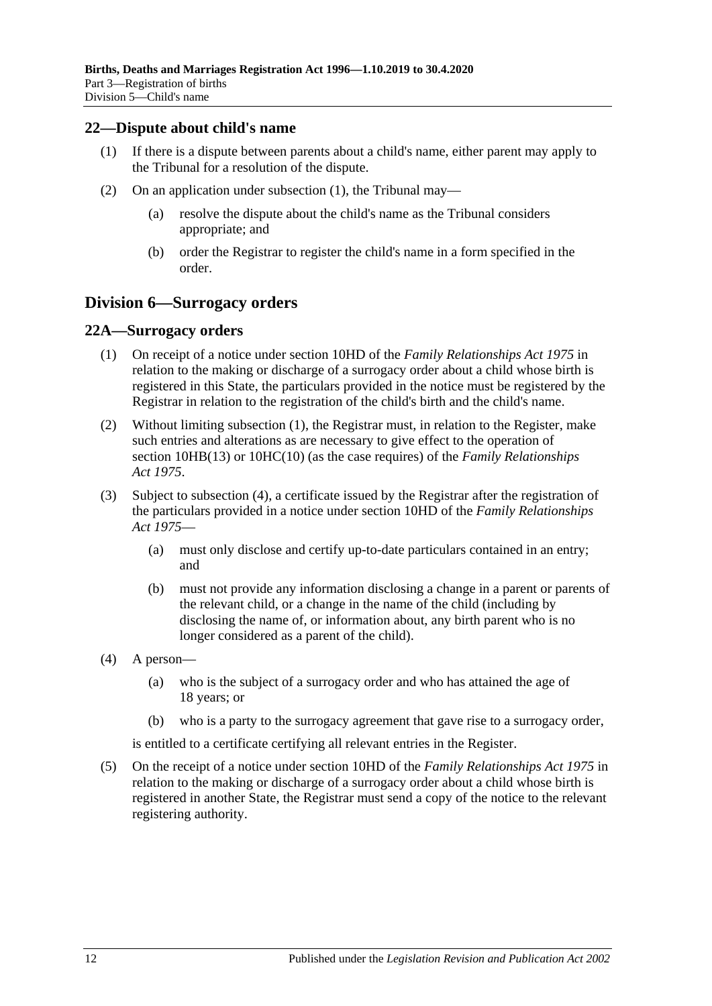#### <span id="page-11-3"></span><span id="page-11-0"></span>**22—Dispute about child's name**

- (1) If there is a dispute between parents about a child's name, either parent may apply to the Tribunal for a resolution of the dispute.
- (2) On an application under [subsection](#page-11-3) (1), the Tribunal may—
	- (a) resolve the dispute about the child's name as the Tribunal considers appropriate; and
	- (b) order the Registrar to register the child's name in a form specified in the order.

## <span id="page-11-1"></span>**Division 6—Surrogacy orders**

#### <span id="page-11-4"></span><span id="page-11-2"></span>**22A—Surrogacy orders**

- (1) On receipt of a notice under section 10HD of the *[Family Relationships Act](http://www.legislation.sa.gov.au/index.aspx?action=legref&type=act&legtitle=Family%20Relationships%20Act%201975) 1975* in relation to the making or discharge of a surrogacy order about a child whose birth is registered in this State, the particulars provided in the notice must be registered by the Registrar in relation to the registration of the child's birth and the child's name.
- (2) Without limiting [subsection](#page-11-4) (1), the Registrar must, in relation to the Register, make such entries and alterations as are necessary to give effect to the operation of section 10HB(13) or 10HC(10) (as the case requires) of the *[Family Relationships](http://www.legislation.sa.gov.au/index.aspx?action=legref&type=act&legtitle=Family%20Relationships%20Act%201975)  Act [1975](http://www.legislation.sa.gov.au/index.aspx?action=legref&type=act&legtitle=Family%20Relationships%20Act%201975)*.
- (3) Subject to [subsection](#page-11-5) (4), a certificate issued by the Registrar after the registration of the particulars provided in a notice under section 10HD of the *[Family Relationships](http://www.legislation.sa.gov.au/index.aspx?action=legref&type=act&legtitle=Family%20Relationships%20Act%201975)  Act [1975](http://www.legislation.sa.gov.au/index.aspx?action=legref&type=act&legtitle=Family%20Relationships%20Act%201975)*—
	- (a) must only disclose and certify up-to-date particulars contained in an entry; and
	- (b) must not provide any information disclosing a change in a parent or parents of the relevant child, or a change in the name of the child (including by disclosing the name of, or information about, any birth parent who is no longer considered as a parent of the child).
- <span id="page-11-5"></span>(4) A person—
	- (a) who is the subject of a surrogacy order and who has attained the age of 18 years; or
	- (b) who is a party to the surrogacy agreement that gave rise to a surrogacy order,

is entitled to a certificate certifying all relevant entries in the Register.

(5) On the receipt of a notice under section 10HD of the *[Family Relationships Act](http://www.legislation.sa.gov.au/index.aspx?action=legref&type=act&legtitle=Family%20Relationships%20Act%201975) 1975* in relation to the making or discharge of a surrogacy order about a child whose birth is registered in another State, the Registrar must send a copy of the notice to the relevant registering authority.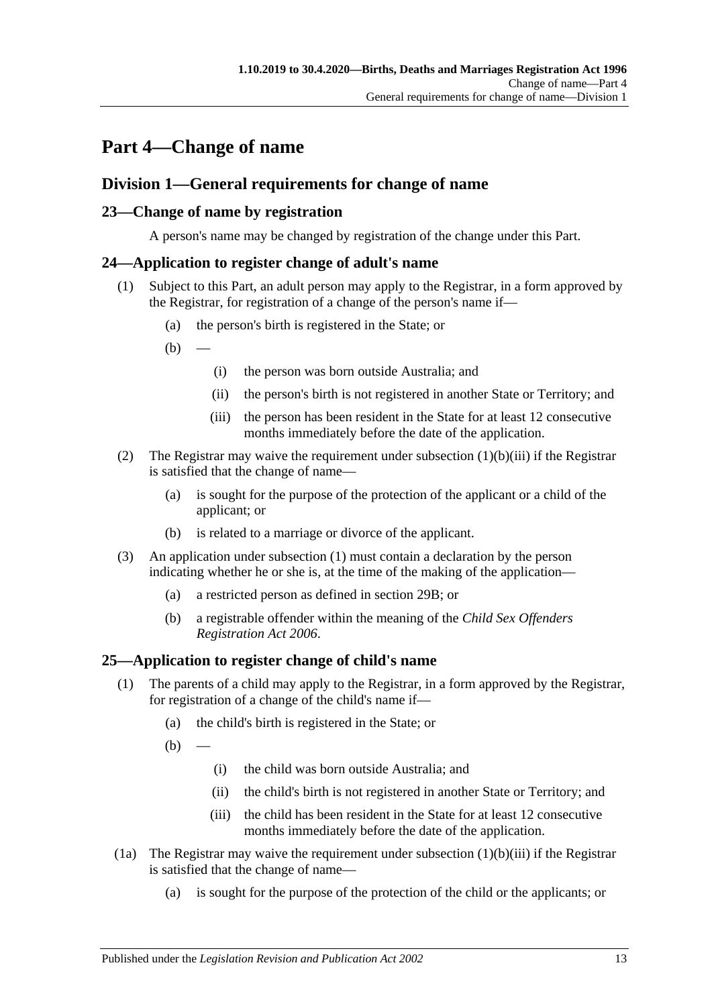# <span id="page-12-0"></span>**Part 4—Change of name**

## <span id="page-12-1"></span>**Division 1—General requirements for change of name**

## <span id="page-12-2"></span>**23—Change of name by registration**

A person's name may be changed by registration of the change under this Part.

## <span id="page-12-6"></span><span id="page-12-3"></span>**24—Application to register change of adult's name**

- (1) Subject to this Part, an adult person may apply to the Registrar, in a form approved by the Registrar, for registration of a change of the person's name if—
	- (a) the person's birth is registered in the State; or
	- $(b)$ 
		- (i) the person was born outside Australia; and
		- (ii) the person's birth is not registered in another State or Territory; and
		- (iii) the person has been resident in the State for at least 12 consecutive months immediately before the date of the application.
- <span id="page-12-5"></span>(2) The Registrar may waive the requirement under [subsection](#page-12-5)  $(1)(b)(iii)$  if the Registrar is satisfied that the change of name—
	- (a) is sought for the purpose of the protection of the applicant or a child of the applicant; or
	- (b) is related to a marriage or divorce of the applicant.
- (3) An application under [subsection](#page-12-6) (1) must contain a declaration by the person indicating whether he or she is, at the time of the making of the application—
	- (a) a restricted person as defined in [section](#page-15-4) 29B; or
	- (b) a registrable offender within the meaning of the *[Child Sex Offenders](http://www.legislation.sa.gov.au/index.aspx?action=legref&type=act&legtitle=Child%20Sex%20Offenders%20Registration%20Act%202006)  [Registration Act](http://www.legislation.sa.gov.au/index.aspx?action=legref&type=act&legtitle=Child%20Sex%20Offenders%20Registration%20Act%202006) 2006*.

### <span id="page-12-4"></span>**25—Application to register change of child's name**

- (1) The parents of a child may apply to the Registrar, in a form approved by the Registrar, for registration of a change of the child's name if—
	- (a) the child's birth is registered in the State; or

 $(b)$ 

- (i) the child was born outside Australia; and
- (ii) the child's birth is not registered in another State or Territory; and
- (iii) the child has been resident in the State for at least 12 consecutive months immediately before the date of the application.
- <span id="page-12-7"></span>(1a) The Registrar may waive the requirement under [subsection](#page-12-7)  $(1)(b)(iii)$  if the Registrar is satisfied that the change of name—
	- (a) is sought for the purpose of the protection of the child or the applicants; or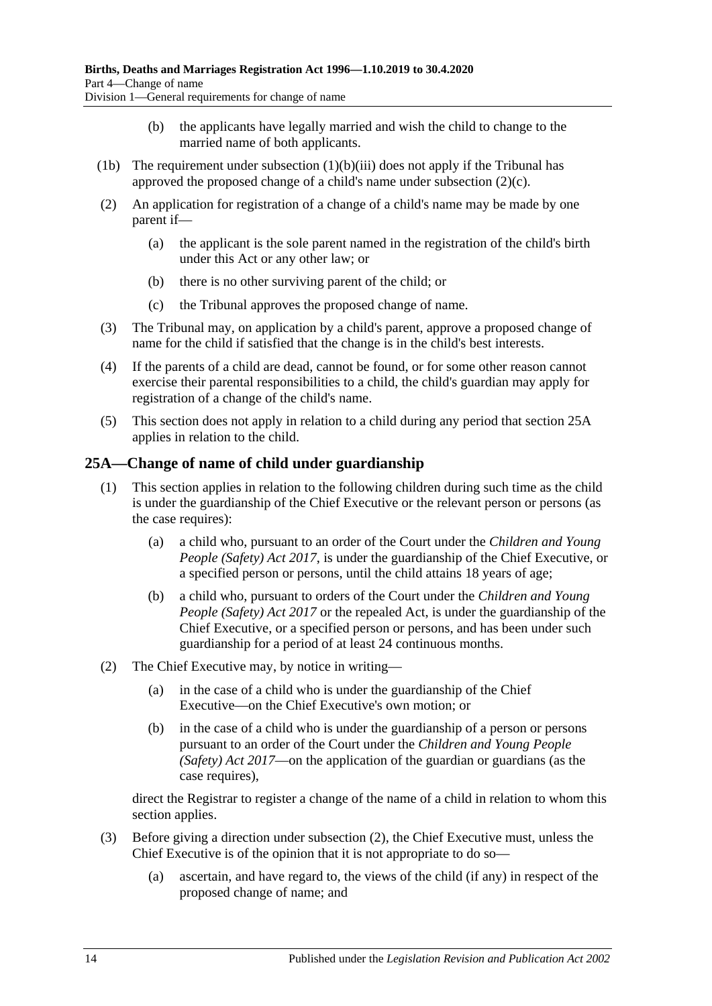- (b) the applicants have legally married and wish the child to change to the married name of both applicants.
- (1b) The requirement under [subsection](#page-12-7)  $(1)(b)(iii)$  does not apply if the Tribunal has approved the proposed change of a child's name under [subsection](#page-13-1) (2)(c).
- (2) An application for registration of a change of a child's name may be made by one parent if—
	- (a) the applicant is the sole parent named in the registration of the child's birth under this Act or any other law; or
	- (b) there is no other surviving parent of the child; or
	- (c) the Tribunal approves the proposed change of name.
- <span id="page-13-1"></span>(3) The Tribunal may, on application by a child's parent, approve a proposed change of name for the child if satisfied that the change is in the child's best interests.
- (4) If the parents of a child are dead, cannot be found, or for some other reason cannot exercise their parental responsibilities to a child, the child's guardian may apply for registration of a change of the child's name.
- (5) This section does not apply in relation to a child during any period that [section](#page-13-0) 25A applies in relation to the child.

### <span id="page-13-0"></span>**25A—Change of name of child under guardianship**

- (1) This section applies in relation to the following children during such time as the child is under the guardianship of the Chief Executive or the relevant person or persons (as the case requires):
	- (a) a child who, pursuant to an order of the Court under the *[Children and Young](http://www.legislation.sa.gov.au/index.aspx?action=legref&type=act&legtitle=Children%20and%20Young%20People%20(Safety)%20Act%202017)  [People \(Safety\) Act](http://www.legislation.sa.gov.au/index.aspx?action=legref&type=act&legtitle=Children%20and%20Young%20People%20(Safety)%20Act%202017) 2017*, is under the guardianship of the Chief Executive, or a specified person or persons, until the child attains 18 years of age;
	- (b) a child who, pursuant to orders of the Court under the *[Children and Young](http://www.legislation.sa.gov.au/index.aspx?action=legref&type=act&legtitle=Children%20and%20Young%20People%20(Safety)%20Act%202017)  [People \(Safety\) Act](http://www.legislation.sa.gov.au/index.aspx?action=legref&type=act&legtitle=Children%20and%20Young%20People%20(Safety)%20Act%202017) 2017* or the repealed Act, is under the guardianship of the Chief Executive, or a specified person or persons, and has been under such guardianship for a period of at least 24 continuous months.
- <span id="page-13-2"></span>(2) The Chief Executive may, by notice in writing—
	- (a) in the case of a child who is under the guardianship of the Chief Executive—on the Chief Executive's own motion; or
	- (b) in the case of a child who is under the guardianship of a person or persons pursuant to an order of the Court under the *[Children and Young People](http://www.legislation.sa.gov.au/index.aspx?action=legref&type=act&legtitle=Children%20and%20Young%20People%20(Safety)%20Act%202017)  [\(Safety\) Act](http://www.legislation.sa.gov.au/index.aspx?action=legref&type=act&legtitle=Children%20and%20Young%20People%20(Safety)%20Act%202017) 2017*—on the application of the guardian or guardians (as the case requires),

direct the Registrar to register a change of the name of a child in relation to whom this section applies.

- (3) Before giving a direction under [subsection](#page-13-2) (2), the Chief Executive must, unless the Chief Executive is of the opinion that it is not appropriate to do so—
	- (a) ascertain, and have regard to, the views of the child (if any) in respect of the proposed change of name; and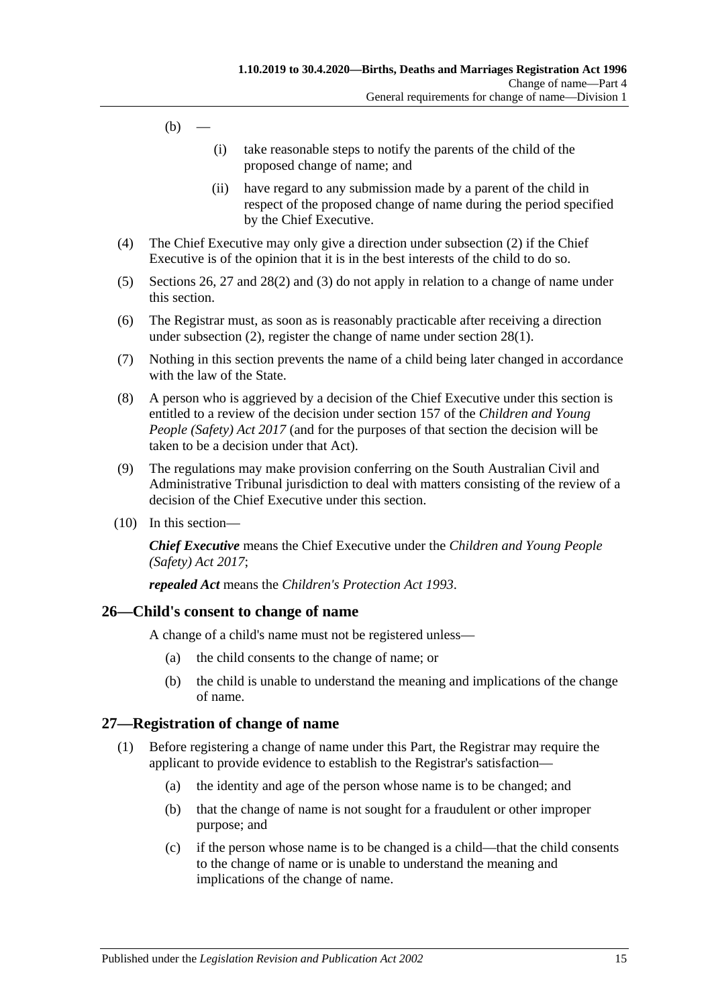- $(b)$  —
- (i) take reasonable steps to notify the parents of the child of the proposed change of name; and
- (ii) have regard to any submission made by a parent of the child in respect of the proposed change of name during the period specified by the Chief Executive.
- (4) The Chief Executive may only give a direction under [subsection](#page-13-2) (2) if the Chief Executive is of the opinion that it is in the best interests of the child to do so.
- (5) [Sections](#page-14-0) 26, [27](#page-14-1) and [28\(2\)](#page-15-5) and [\(3\)](#page-15-6) do not apply in relation to a change of name under this section.
- (6) The Registrar must, as soon as is reasonably practicable after receiving a direction under [subsection](#page-13-2) (2), register the change of name under [section](#page-15-7) 28(1).
- (7) Nothing in this section prevents the name of a child being later changed in accordance with the law of the State.
- (8) A person who is aggrieved by a decision of the Chief Executive under this section is entitled to a review of the decision under section 157 of the *[Children and Young](http://www.legislation.sa.gov.au/index.aspx?action=legref&type=act&legtitle=Children%20and%20Young%20People%20(Safety)%20Act%202017)  [People \(Safety\) Act](http://www.legislation.sa.gov.au/index.aspx?action=legref&type=act&legtitle=Children%20and%20Young%20People%20(Safety)%20Act%202017) 2017* (and for the purposes of that section the decision will be taken to be a decision under that Act).
- (9) The regulations may make provision conferring on the South Australian Civil and Administrative Tribunal jurisdiction to deal with matters consisting of the review of a decision of the Chief Executive under this section.
- (10) In this section—

*Chief Executive* means the Chief Executive under the *[Children and Young People](http://www.legislation.sa.gov.au/index.aspx?action=legref&type=act&legtitle=Children%20and%20Young%20People%20(Safety)%20Act%202017)  [\(Safety\) Act](http://www.legislation.sa.gov.au/index.aspx?action=legref&type=act&legtitle=Children%20and%20Young%20People%20(Safety)%20Act%202017) 2017*;

*repealed Act* means the *[Children's Protection Act](http://www.legislation.sa.gov.au/index.aspx?action=legref&type=act&legtitle=Childrens%20Protection%20Act%201993) 1993*.

### <span id="page-14-0"></span>**26—Child's consent to change of name**

A change of a child's name must not be registered unless—

- (a) the child consents to the change of name; or
- (b) the child is unable to understand the meaning and implications of the change of name.

### <span id="page-14-1"></span>**27—Registration of change of name**

- (1) Before registering a change of name under this Part, the Registrar may require the applicant to provide evidence to establish to the Registrar's satisfaction—
	- (a) the identity and age of the person whose name is to be changed; and
	- (b) that the change of name is not sought for a fraudulent or other improper purpose; and
	- (c) if the person whose name is to be changed is a child—that the child consents to the change of name or is unable to understand the meaning and implications of the change of name.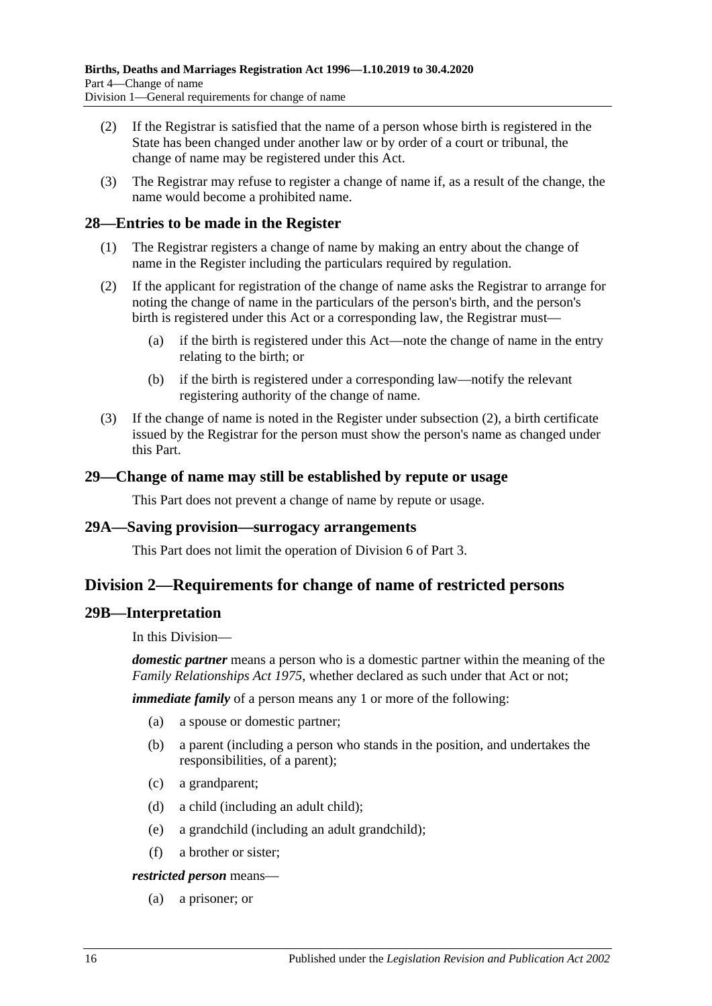- (2) If the Registrar is satisfied that the name of a person whose birth is registered in the State has been changed under another law or by order of a court or tribunal, the change of name may be registered under this Act.
- (3) The Registrar may refuse to register a change of name if, as a result of the change, the name would become a prohibited name.

### <span id="page-15-7"></span><span id="page-15-0"></span>**28—Entries to be made in the Register**

- (1) The Registrar registers a change of name by making an entry about the change of name in the Register including the particulars required by regulation.
- <span id="page-15-5"></span>(2) If the applicant for registration of the change of name asks the Registrar to arrange for noting the change of name in the particulars of the person's birth, and the person's birth is registered under this Act or a corresponding law, the Registrar must—
	- (a) if the birth is registered under this Act—note the change of name in the entry relating to the birth; or
	- (b) if the birth is registered under a corresponding law—notify the relevant registering authority of the change of name.
- <span id="page-15-6"></span>(3) If the change of name is noted in the Register under [subsection](#page-15-5) (2), a birth certificate issued by the Registrar for the person must show the person's name as changed under this Part.

### <span id="page-15-1"></span>**29—Change of name may still be established by repute or usage**

This Part does not prevent a change of name by repute or usage.

### <span id="page-15-2"></span>**29A—Saving provision—surrogacy arrangements**

This Part does not limit the operation of [Division 6](#page-11-1) of [Part 3.](#page-7-0)

## <span id="page-15-3"></span>**Division 2—Requirements for change of name of restricted persons**

### <span id="page-15-4"></span>**29B—Interpretation**

In this Division—

*domestic partner* means a person who is a domestic partner within the meaning of the *[Family Relationships Act](http://www.legislation.sa.gov.au/index.aspx?action=legref&type=act&legtitle=Family%20Relationships%20Act%201975) 1975*, whether declared as such under that Act or not;

*immediate family* of a person means any 1 or more of the following:

- (a) a spouse or domestic partner;
- (b) a parent (including a person who stands in the position, and undertakes the responsibilities, of a parent);
- (c) a grandparent;
- (d) a child (including an adult child);
- (e) a grandchild (including an adult grandchild);
- (f) a brother or sister;

*restricted person* means—

(a) a prisoner; or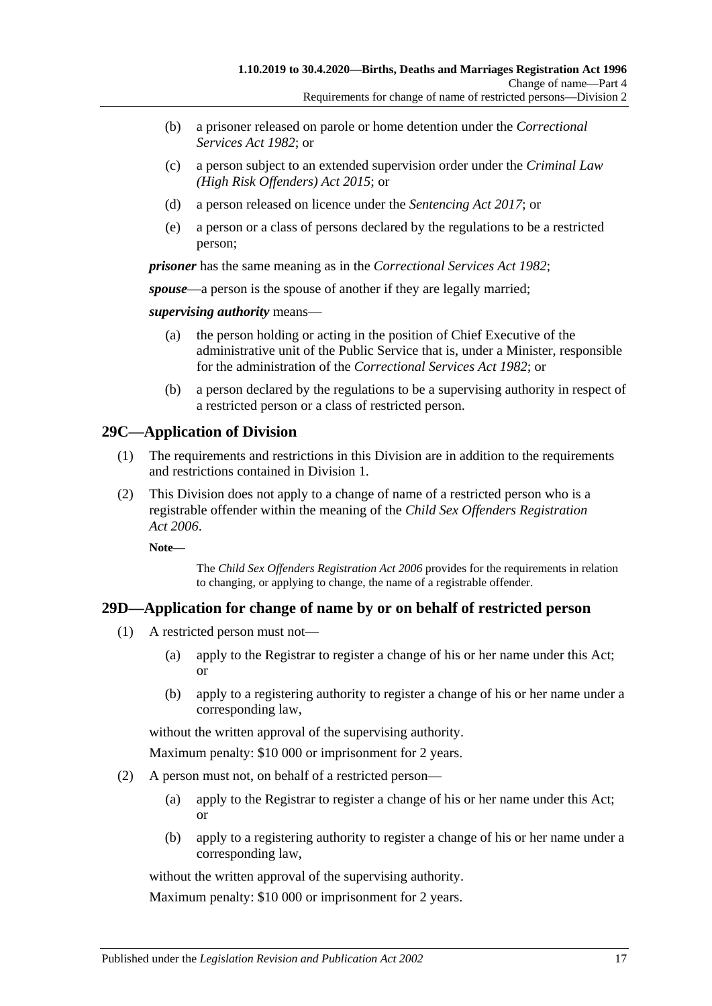- (b) a prisoner released on parole or home detention under the *[Correctional](http://www.legislation.sa.gov.au/index.aspx?action=legref&type=act&legtitle=Correctional%20Services%20Act%201982)  [Services Act](http://www.legislation.sa.gov.au/index.aspx?action=legref&type=act&legtitle=Correctional%20Services%20Act%201982) 1982*; or
- (c) a person subject to an extended supervision order under the *[Criminal Law](http://www.legislation.sa.gov.au/index.aspx?action=legref&type=act&legtitle=Criminal%20Law%20(High%20Risk%20Offenders)%20Act%202015)  [\(High Risk Offenders\) Act](http://www.legislation.sa.gov.au/index.aspx?action=legref&type=act&legtitle=Criminal%20Law%20(High%20Risk%20Offenders)%20Act%202015) 2015*; or
- (d) a person released on licence under the *[Sentencing Act](http://www.legislation.sa.gov.au/index.aspx?action=legref&type=act&legtitle=Sentencing%20Act%202017) 2017*; or
- (e) a person or a class of persons declared by the regulations to be a restricted person;

*prisoner* has the same meaning as in the *[Correctional Services Act](http://www.legislation.sa.gov.au/index.aspx?action=legref&type=act&legtitle=Correctional%20Services%20Act%201982) 1982*;

*spouse*—a person is the spouse of another if they are legally married;

*supervising authority* means—

- (a) the person holding or acting in the position of Chief Executive of the administrative unit of the Public Service that is, under a Minister, responsible for the administration of the *[Correctional Services Act](http://www.legislation.sa.gov.au/index.aspx?action=legref&type=act&legtitle=Correctional%20Services%20Act%201982) 1982*; or
- (b) a person declared by the regulations to be a supervising authority in respect of a restricted person or a class of restricted person.

## <span id="page-16-0"></span>**29C—Application of Division**

- (1) The requirements and restrictions in this Division are in addition to the requirements and restrictions contained in [Division 1.](#page-12-1)
- (2) This Division does not apply to a change of name of a restricted person who is a registrable offender within the meaning of the *[Child Sex Offenders Registration](http://www.legislation.sa.gov.au/index.aspx?action=legref&type=act&legtitle=Child%20Sex%20Offenders%20Registration%20Act%202006)  Act [2006](http://www.legislation.sa.gov.au/index.aspx?action=legref&type=act&legtitle=Child%20Sex%20Offenders%20Registration%20Act%202006)*.

**Note—**

The *[Child Sex Offenders Registration Act](http://www.legislation.sa.gov.au/index.aspx?action=legref&type=act&legtitle=Child%20Sex%20Offenders%20Registration%20Act%202006) 2006* provides for the requirements in relation to changing, or applying to change, the name of a registrable offender.

### <span id="page-16-2"></span><span id="page-16-1"></span>**29D—Application for change of name by or on behalf of restricted person**

- (1) A restricted person must not—
	- (a) apply to the Registrar to register a change of his or her name under this Act; or
	- (b) apply to a registering authority to register a change of his or her name under a corresponding law,

without the written approval of the supervising authority.

Maximum penalty: \$10 000 or imprisonment for 2 years.

- <span id="page-16-3"></span>(2) A person must not, on behalf of a restricted person—
	- (a) apply to the Registrar to register a change of his or her name under this Act; or
	- (b) apply to a registering authority to register a change of his or her name under a corresponding law,

without the written approval of the supervising authority.

Maximum penalty: \$10 000 or imprisonment for 2 years.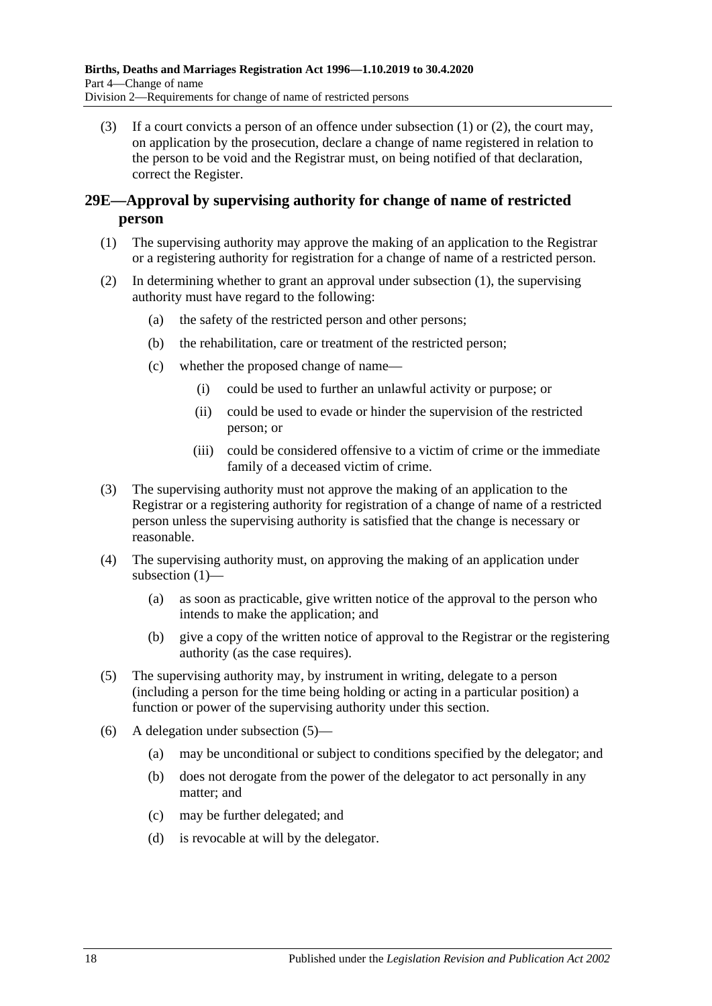(3) If a court convicts a person of an offence under [subsection \(1\)](#page-16-2) or [\(2\),](#page-16-3) the court may, on application by the prosecution, declare a change of name registered in relation to the person to be void and the Registrar must, on being notified of that declaration, correct the Register.

## <span id="page-17-0"></span>**29E—Approval by supervising authority for change of name of restricted person**

- <span id="page-17-1"></span>(1) The supervising authority may approve the making of an application to the Registrar or a registering authority for registration for a change of name of a restricted person.
- (2) In determining whether to grant an approval under [subsection](#page-17-1) (1), the supervising authority must have regard to the following:
	- (a) the safety of the restricted person and other persons;
	- (b) the rehabilitation, care or treatment of the restricted person;
	- (c) whether the proposed change of name—
		- (i) could be used to further an unlawful activity or purpose; or
		- (ii) could be used to evade or hinder the supervision of the restricted person; or
		- (iii) could be considered offensive to a victim of crime or the immediate family of a deceased victim of crime.
- (3) The supervising authority must not approve the making of an application to the Registrar or a registering authority for registration of a change of name of a restricted person unless the supervising authority is satisfied that the change is necessary or reasonable.
- (4) The supervising authority must, on approving the making of an application under [subsection](#page-17-1) (1)—
	- (a) as soon as practicable, give written notice of the approval to the person who intends to make the application; and
	- (b) give a copy of the written notice of approval to the Registrar or the registering authority (as the case requires).
- <span id="page-17-2"></span>(5) The supervising authority may, by instrument in writing, delegate to a person (including a person for the time being holding or acting in a particular position) a function or power of the supervising authority under this section.
- (6) A delegation under [subsection](#page-17-2) (5)—
	- (a) may be unconditional or subject to conditions specified by the delegator; and
	- (b) does not derogate from the power of the delegator to act personally in any matter; and
	- (c) may be further delegated; and
	- (d) is revocable at will by the delegator.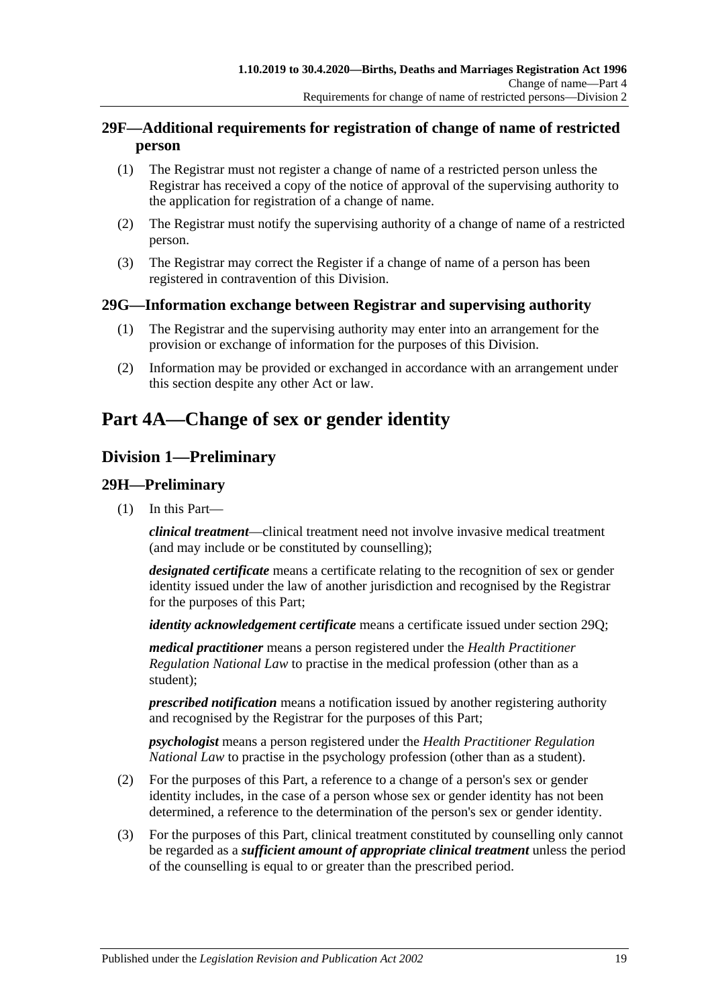## <span id="page-18-0"></span>**29F—Additional requirements for registration of change of name of restricted person**

- (1) The Registrar must not register a change of name of a restricted person unless the Registrar has received a copy of the notice of approval of the supervising authority to the application for registration of a change of name.
- (2) The Registrar must notify the supervising authority of a change of name of a restricted person.
- (3) The Registrar may correct the Register if a change of name of a person has been registered in contravention of this Division.

## <span id="page-18-1"></span>**29G—Information exchange between Registrar and supervising authority**

- (1) The Registrar and the supervising authority may enter into an arrangement for the provision or exchange of information for the purposes of this Division.
- (2) Information may be provided or exchanged in accordance with an arrangement under this section despite any other Act or law.

# <span id="page-18-2"></span>**Part 4A—Change of sex or gender identity**

## <span id="page-18-3"></span>**Division 1—Preliminary**

## <span id="page-18-4"></span>**29H—Preliminary**

(1) In this Part—

*clinical treatment*—clinical treatment need not involve invasive medical treatment (and may include or be constituted by counselling);

*designated certificate* means a certificate relating to the recognition of sex or gender identity issued under the law of another jurisdiction and recognised by the Registrar for the purposes of this Part;

*identity acknowledgement certificate* means a certificate issued under [section](#page-22-0) 29Q;

*medical practitioner* means a person registered under the *Health Practitioner Regulation National Law* to practise in the medical profession (other than as a student);

*prescribed notification* means a notification issued by another registering authority and recognised by the Registrar for the purposes of this Part;

*psychologist* means a person registered under the *Health Practitioner Regulation National Law* to practise in the psychology profession (other than as a student).

- (2) For the purposes of this Part, a reference to a change of a person's sex or gender identity includes, in the case of a person whose sex or gender identity has not been determined, a reference to the determination of the person's sex or gender identity.
- (3) For the purposes of this Part, clinical treatment constituted by counselling only cannot be regarded as a *sufficient amount of appropriate clinical treatment* unless the period of the counselling is equal to or greater than the prescribed period.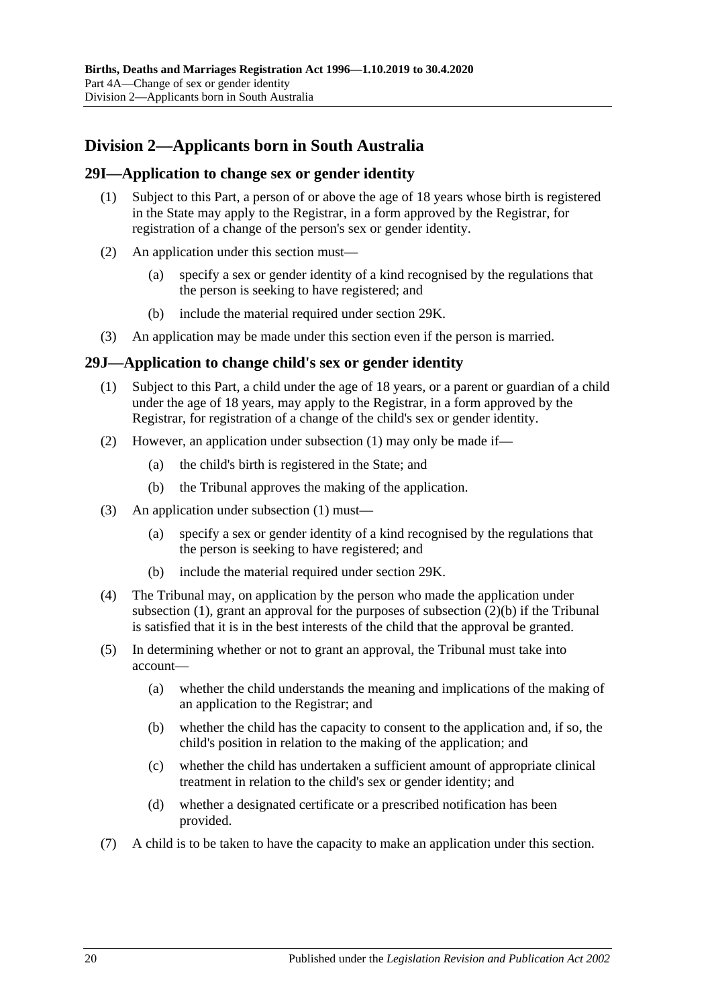## <span id="page-19-0"></span>**Division 2—Applicants born in South Australia**

#### <span id="page-19-1"></span>**29I—Application to change sex or gender identity**

- (1) Subject to this Part, a person of or above the age of 18 years whose birth is registered in the State may apply to the Registrar, in a form approved by the Registrar, for registration of a change of the person's sex or gender identity.
- (2) An application under this section must—
	- (a) specify a sex or gender identity of a kind recognised by the regulations that the person is seeking to have registered; and
	- (b) include the material required under [section](#page-20-0) 29K.
- (3) An application may be made under this section even if the person is married.

#### <span id="page-19-3"></span><span id="page-19-2"></span>**29J—Application to change child's sex or gender identity**

- (1) Subject to this Part, a child under the age of 18 years, or a parent or guardian of a child under the age of 18 years, may apply to the Registrar, in a form approved by the Registrar, for registration of a change of the child's sex or gender identity.
- (2) However, an application under [subsection](#page-19-3) (1) may only be made if—
	- (a) the child's birth is registered in the State; and
	- (b) the Tribunal approves the making of the application.
- <span id="page-19-4"></span>(3) An application under [subsection](#page-19-3) (1) must—
	- (a) specify a sex or gender identity of a kind recognised by the regulations that the person is seeking to have registered; and
	- (b) include the material required under [section](#page-20-0) 29K.
- (4) The Tribunal may, on application by the person who made the application under [subsection](#page-19-3) (1), grant an approval for the purposes of [subsection](#page-19-4)  $(2)(b)$  if the Tribunal is satisfied that it is in the best interests of the child that the approval be granted.
- (5) In determining whether or not to grant an approval, the Tribunal must take into account—
	- (a) whether the child understands the meaning and implications of the making of an application to the Registrar; and
	- (b) whether the child has the capacity to consent to the application and, if so, the child's position in relation to the making of the application; and
	- (c) whether the child has undertaken a sufficient amount of appropriate clinical treatment in relation to the child's sex or gender identity; and
	- (d) whether a designated certificate or a prescribed notification has been provided.
- (7) A child is to be taken to have the capacity to make an application under this section.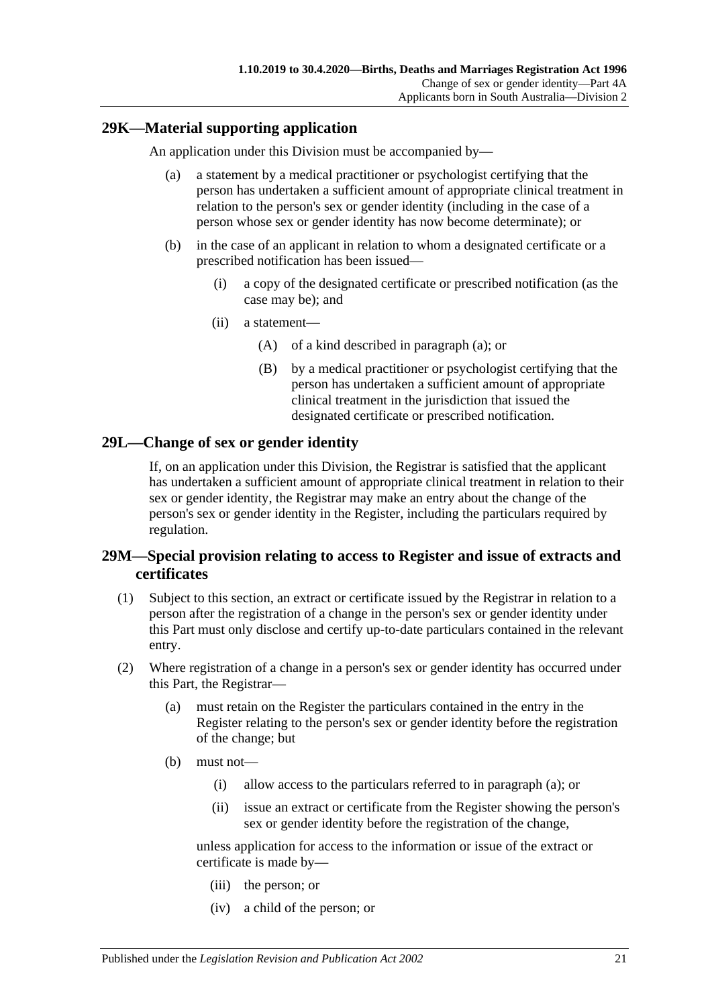### <span id="page-20-3"></span><span id="page-20-0"></span>**29K—Material supporting application**

An application under this Division must be accompanied by—

- (a) a statement by a medical practitioner or psychologist certifying that the person has undertaken a sufficient amount of appropriate clinical treatment in relation to the person's sex or gender identity (including in the case of a person whose sex or gender identity has now become determinate); or
- (b) in the case of an applicant in relation to whom a designated certificate or a prescribed notification has been issued—
	- (i) a copy of the designated certificate or prescribed notification (as the case may be); and
	- (ii) a statement—
		- (A) of a kind described in [paragraph](#page-20-3) (a); or
		- (B) by a medical practitioner or psychologist certifying that the person has undertaken a sufficient amount of appropriate clinical treatment in the jurisdiction that issued the designated certificate or prescribed notification.

### <span id="page-20-1"></span>**29L—Change of sex or gender identity**

If, on an application under this Division, the Registrar is satisfied that the applicant has undertaken a sufficient amount of appropriate clinical treatment in relation to their sex or gender identity, the Registrar may make an entry about the change of the person's sex or gender identity in the Register, including the particulars required by regulation.

## <span id="page-20-2"></span>**29M—Special provision relating to access to Register and issue of extracts and certificates**

- (1) Subject to this section, an extract or certificate issued by the Registrar in relation to a person after the registration of a change in the person's sex or gender identity under this Part must only disclose and certify up-to-date particulars contained in the relevant entry.
- <span id="page-20-4"></span>(2) Where registration of a change in a person's sex or gender identity has occurred under this Part, the Registrar—
	- (a) must retain on the Register the particulars contained in the entry in the Register relating to the person's sex or gender identity before the registration of the change; but
	- (b) must not—
		- (i) allow access to the particulars referred to in [paragraph](#page-20-4) (a); or
		- (ii) issue an extract or certificate from the Register showing the person's sex or gender identity before the registration of the change,

unless application for access to the information or issue of the extract or certificate is made by—

- (iii) the person; or
- (iv) a child of the person; or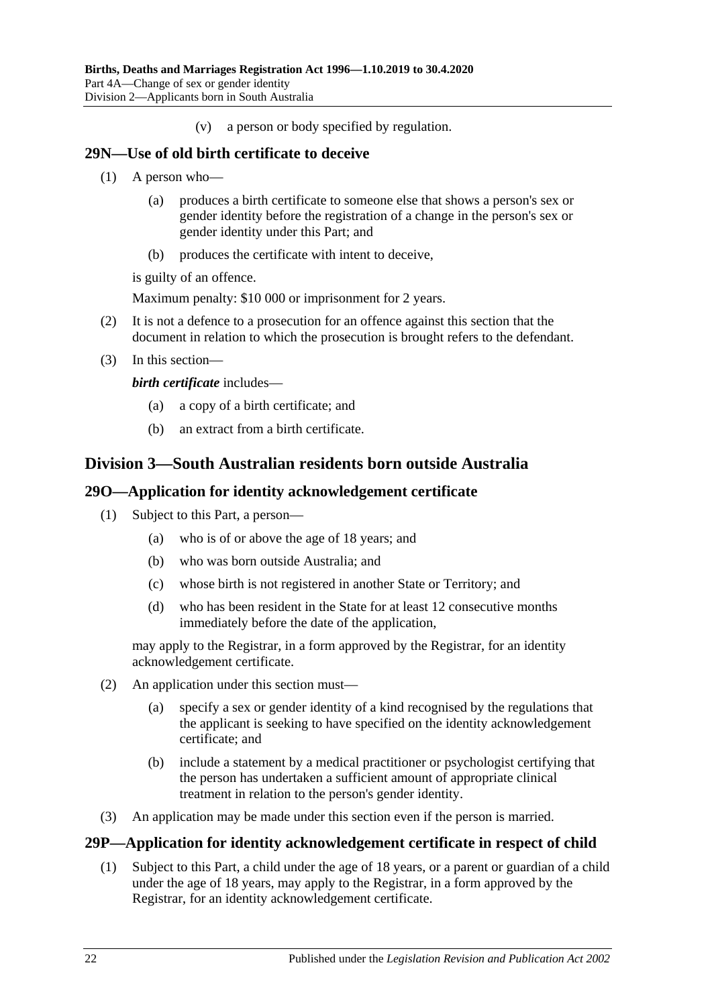(v) a person or body specified by regulation.

#### <span id="page-21-0"></span>**29N—Use of old birth certificate to deceive**

- (1) A person who—
	- (a) produces a birth certificate to someone else that shows a person's sex or gender identity before the registration of a change in the person's sex or gender identity under this Part; and
	- (b) produces the certificate with intent to deceive,

is guilty of an offence.

Maximum penalty: \$10 000 or imprisonment for 2 years.

- (2) It is not a defence to a prosecution for an offence against this section that the document in relation to which the prosecution is brought refers to the defendant.
- (3) In this section—

*birth certificate* includes—

- (a) a copy of a birth certificate; and
- (b) an extract from a birth certificate.

## <span id="page-21-1"></span>**Division 3—South Australian residents born outside Australia**

#### <span id="page-21-2"></span>**29O—Application for identity acknowledgement certificate**

- (1) Subject to this Part, a person—
	- (a) who is of or above the age of 18 years; and
	- (b) who was born outside Australia; and
	- (c) whose birth is not registered in another State or Territory; and
	- (d) who has been resident in the State for at least 12 consecutive months immediately before the date of the application,

may apply to the Registrar, in a form approved by the Registrar, for an identity acknowledgement certificate.

- (2) An application under this section must—
	- (a) specify a sex or gender identity of a kind recognised by the regulations that the applicant is seeking to have specified on the identity acknowledgement certificate; and
	- (b) include a statement by a medical practitioner or psychologist certifying that the person has undertaken a sufficient amount of appropriate clinical treatment in relation to the person's gender identity.
- (3) An application may be made under this section even if the person is married.

### <span id="page-21-4"></span><span id="page-21-3"></span>**29P—Application for identity acknowledgement certificate in respect of child**

(1) Subject to this Part, a child under the age of 18 years, or a parent or guardian of a child under the age of 18 years, may apply to the Registrar, in a form approved by the Registrar, for an identity acknowledgement certificate.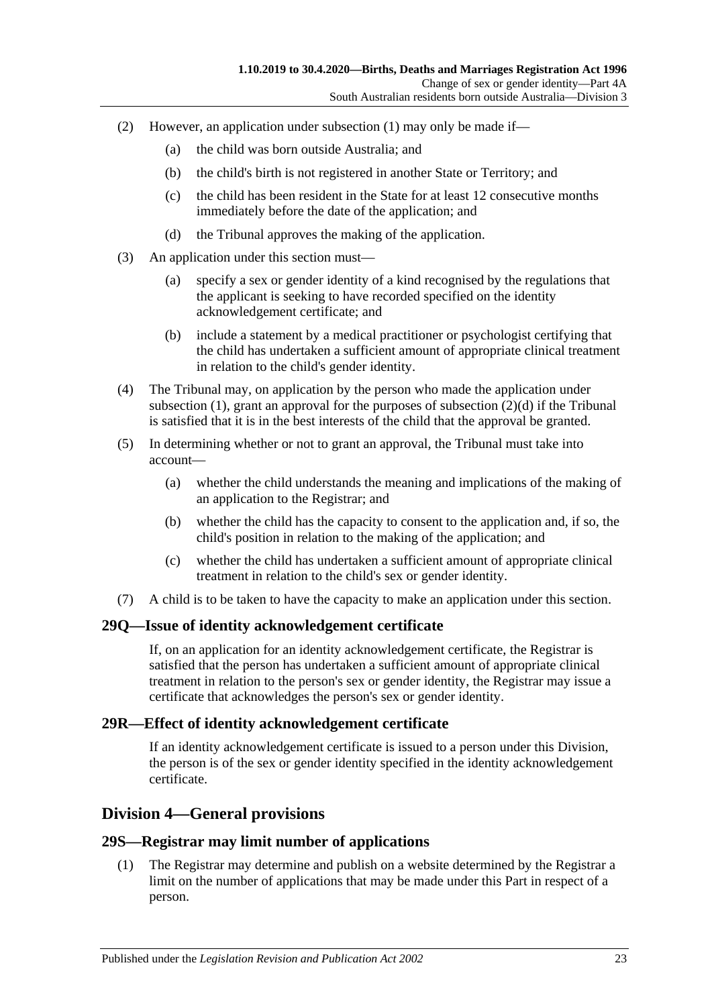- (2) However, an application under [subsection](#page-21-4) (1) may only be made if—
	- (a) the child was born outside Australia; and
	- (b) the child's birth is not registered in another State or Territory; and
	- (c) the child has been resident in the State for at least 12 consecutive months immediately before the date of the application; and
	- (d) the Tribunal approves the making of the application.
- <span id="page-22-4"></span>(3) An application under this section must—
	- (a) specify a sex or gender identity of a kind recognised by the regulations that the applicant is seeking to have recorded specified on the identity acknowledgement certificate; and
	- (b) include a statement by a medical practitioner or psychologist certifying that the child has undertaken a sufficient amount of appropriate clinical treatment in relation to the child's gender identity.
- (4) The Tribunal may, on application by the person who made the application under [subsection](#page-19-3)  $(1)$ , grant an approval for the purposes of [subsection](#page-22-4)  $(2)(d)$  if the Tribunal is satisfied that it is in the best interests of the child that the approval be granted.
- (5) In determining whether or not to grant an approval, the Tribunal must take into account—
	- (a) whether the child understands the meaning and implications of the making of an application to the Registrar; and
	- (b) whether the child has the capacity to consent to the application and, if so, the child's position in relation to the making of the application; and
	- (c) whether the child has undertaken a sufficient amount of appropriate clinical treatment in relation to the child's sex or gender identity.
- (7) A child is to be taken to have the capacity to make an application under this section.

#### <span id="page-22-0"></span>**29Q—Issue of identity acknowledgement certificate**

If, on an application for an identity acknowledgement certificate, the Registrar is satisfied that the person has undertaken a sufficient amount of appropriate clinical treatment in relation to the person's sex or gender identity, the Registrar may issue a certificate that acknowledges the person's sex or gender identity.

#### <span id="page-22-1"></span>**29R—Effect of identity acknowledgement certificate**

If an identity acknowledgement certificate is issued to a person under this Division, the person is of the sex or gender identity specified in the identity acknowledgement certificate.

### <span id="page-22-2"></span>**Division 4—General provisions**

#### <span id="page-22-3"></span>**29S—Registrar may limit number of applications**

(1) The Registrar may determine and publish on a website determined by the Registrar a limit on the number of applications that may be made under this Part in respect of a person.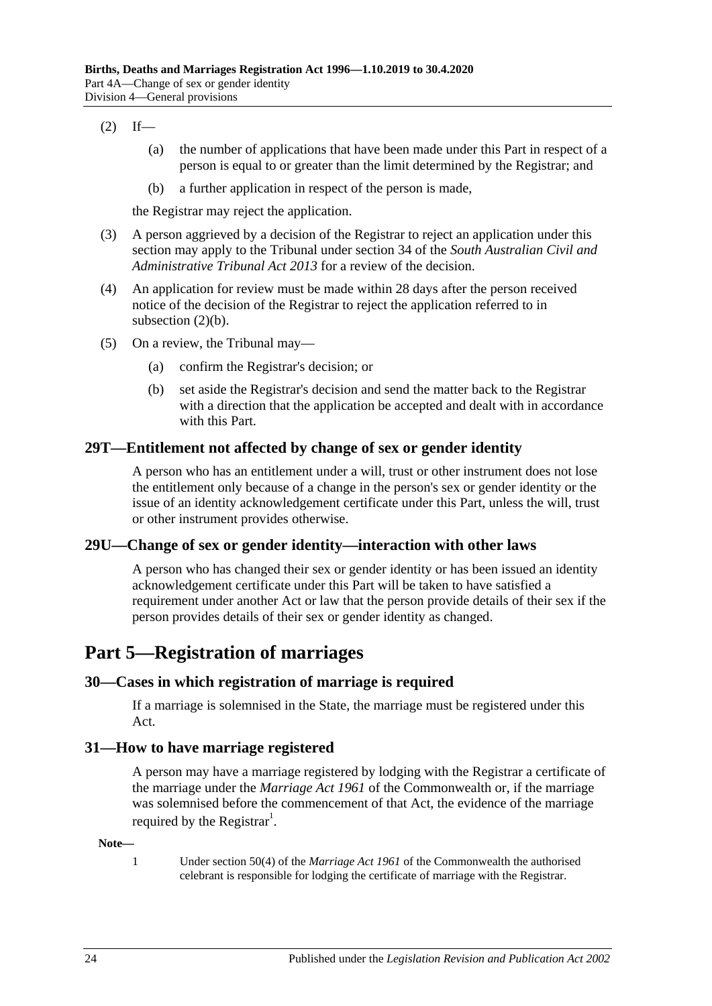#### <span id="page-23-5"></span> $(2)$  If—

- (a) the number of applications that have been made under this Part in respect of a person is equal to or greater than the limit determined by the Registrar; and
- (b) a further application in respect of the person is made,

the Registrar may reject the application.

- (3) A person aggrieved by a decision of the Registrar to reject an application under this section may apply to the Tribunal under section 34 of the *[South Australian Civil and](http://www.legislation.sa.gov.au/index.aspx?action=legref&type=act&legtitle=South%20Australian%20Civil%20and%20Administrative%20Tribunal%20Act%202013)  [Administrative Tribunal Act](http://www.legislation.sa.gov.au/index.aspx?action=legref&type=act&legtitle=South%20Australian%20Civil%20and%20Administrative%20Tribunal%20Act%202013) 2013* for a review of the decision.
- (4) An application for review must be made within 28 days after the person received notice of the decision of the Registrar to reject the application referred to in [subsection](#page-23-5)  $(2)(b)$ .
- (5) On a review, the Tribunal may—
	- (a) confirm the Registrar's decision; or
	- (b) set aside the Registrar's decision and send the matter back to the Registrar with a direction that the application be accepted and dealt with in accordance with this Part.

#### <span id="page-23-0"></span>**29T—Entitlement not affected by change of sex or gender identity**

A person who has an entitlement under a will, trust or other instrument does not lose the entitlement only because of a change in the person's sex or gender identity or the issue of an identity acknowledgement certificate under this Part, unless the will, trust or other instrument provides otherwise.

### <span id="page-23-1"></span>**29U—Change of sex or gender identity—interaction with other laws**

A person who has changed their sex or gender identity or has been issued an identity acknowledgement certificate under this Part will be taken to have satisfied a requirement under another Act or law that the person provide details of their sex if the person provides details of their sex or gender identity as changed.

## <span id="page-23-2"></span>**Part 5—Registration of marriages**

### <span id="page-23-3"></span>**30—Cases in which registration of marriage is required**

If a marriage is solemnised in the State, the marriage must be registered under this Act.

#### <span id="page-23-4"></span>**31—How to have marriage registered**

A person may have a marriage registered by lodging with the Registrar a certificate of the marriage under the *Marriage Act 1961* of the Commonwealth or, if the marriage was solemnised before the commencement of that Act, the evidence of the marriage required by the Registrar<sup>1</sup>.

#### **Note—**

1 Under section 50(4) of the *Marriage Act 1961* of the Commonwealth the authorised celebrant is responsible for lodging the certificate of marriage with the Registrar.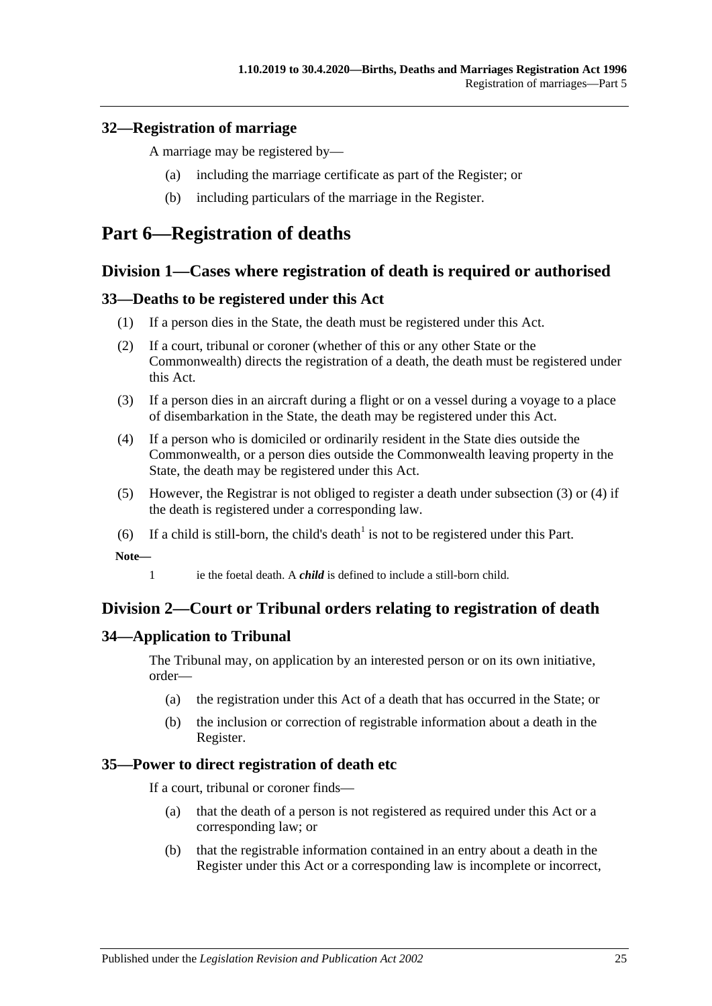### <span id="page-24-0"></span>**32—Registration of marriage**

A marriage may be registered by—

- (a) including the marriage certificate as part of the Register; or
- (b) including particulars of the marriage in the Register.

## <span id="page-24-1"></span>**Part 6—Registration of deaths**

## <span id="page-24-2"></span>**Division 1—Cases where registration of death is required or authorised**

### <span id="page-24-3"></span>**33—Deaths to be registered under this Act**

- (1) If a person dies in the State, the death must be registered under this Act.
- (2) If a court, tribunal or coroner (whether of this or any other State or the Commonwealth) directs the registration of a death, the death must be registered under this Act.
- <span id="page-24-7"></span>(3) If a person dies in an aircraft during a flight or on a vessel during a voyage to a place of disembarkation in the State, the death may be registered under this Act.
- <span id="page-24-8"></span>(4) If a person who is domiciled or ordinarily resident in the State dies outside the Commonwealth, or a person dies outside the Commonwealth leaving property in the State, the death may be registered under this Act.
- (5) However, the Registrar is not obliged to register a death under [subsection](#page-24-7) (3) or [\(4\)](#page-24-8) if the death is registered under a corresponding law.
- (6) If a child is still-born, the child's death<sup>1</sup> is not to be registered under this Part.

**Note—**

1 ie the foetal death. A *child* is defined to include a still-born child.

## <span id="page-24-4"></span>**Division 2—Court or Tribunal orders relating to registration of death**

## <span id="page-24-5"></span>**34—Application to Tribunal**

The Tribunal may, on application by an interested person or on its own initiative, order—

- (a) the registration under this Act of a death that has occurred in the State; or
- (b) the inclusion or correction of registrable information about a death in the Register.

### <span id="page-24-6"></span>**35—Power to direct registration of death etc**

If a court, tribunal or coroner finds—

- (a) that the death of a person is not registered as required under this Act or a corresponding law; or
- (b) that the registrable information contained in an entry about a death in the Register under this Act or a corresponding law is incomplete or incorrect,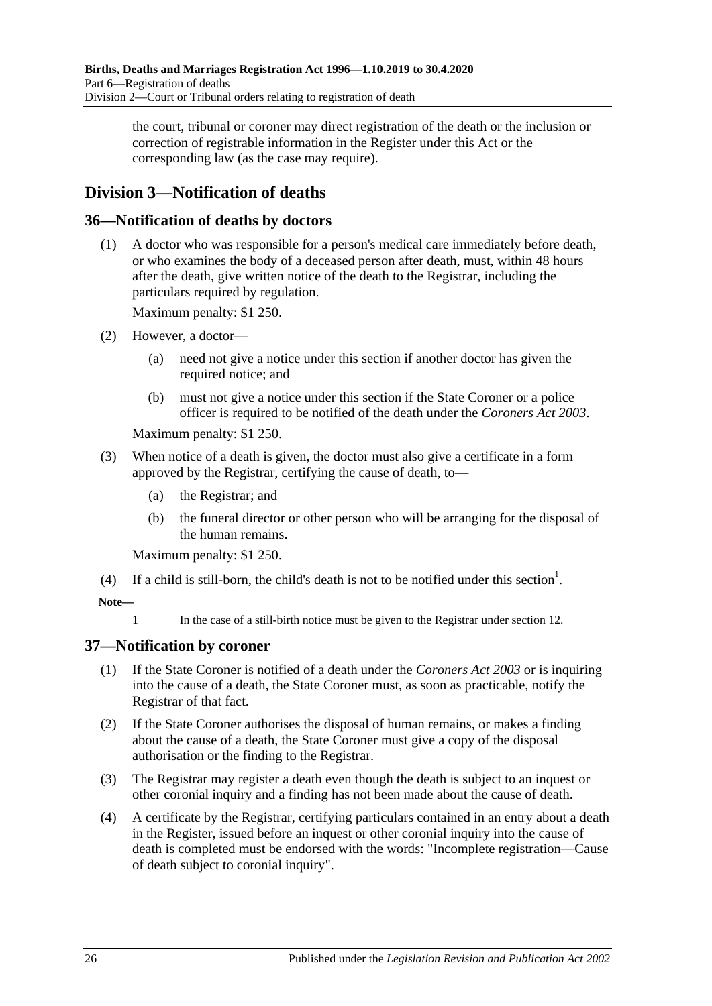the court, tribunal or coroner may direct registration of the death or the inclusion or correction of registrable information in the Register under this Act or the corresponding law (as the case may require).

## <span id="page-25-0"></span>**Division 3—Notification of deaths**

## <span id="page-25-1"></span>**36—Notification of deaths by doctors**

(1) A doctor who was responsible for a person's medical care immediately before death, or who examines the body of a deceased person after death, must, within 48 hours after the death, give written notice of the death to the Registrar, including the particulars required by regulation.

Maximum penalty: \$1 250.

- (2) However, a doctor—
	- (a) need not give a notice under this section if another doctor has given the required notice; and
	- (b) must not give a notice under this section if the State Coroner or a police officer is required to be notified of the death under the *[Coroners Act](http://www.legislation.sa.gov.au/index.aspx?action=legref&type=act&legtitle=Coroners%20Act%202003) 2003*.

Maximum penalty: \$1 250.

- (3) When notice of a death is given, the doctor must also give a certificate in a form approved by the Registrar, certifying the cause of death, to—
	- (a) the Registrar; and
	- (b) the funeral director or other person who will be arranging for the disposal of the human remains.

Maximum penalty: \$1 250.

(4) If a child is still-born, the child's death is not to be notified under this section<sup>1</sup>.

#### **Note—**

1 In the case of a still-birth notice must be given to the Registrar under [section](#page-7-2) 12.

### <span id="page-25-2"></span>**37—Notification by coroner**

- (1) If the State Coroner is notified of a death under the *[Coroners Act](http://www.legislation.sa.gov.au/index.aspx?action=legref&type=act&legtitle=Coroners%20Act%202003) 2003* or is inquiring into the cause of a death, the State Coroner must, as soon as practicable, notify the Registrar of that fact.
- (2) If the State Coroner authorises the disposal of human remains, or makes a finding about the cause of a death, the State Coroner must give a copy of the disposal authorisation or the finding to the Registrar.
- (3) The Registrar may register a death even though the death is subject to an inquest or other coronial inquiry and a finding has not been made about the cause of death.
- (4) A certificate by the Registrar, certifying particulars contained in an entry about a death in the Register, issued before an inquest or other coronial inquiry into the cause of death is completed must be endorsed with the words: "Incomplete registration—Cause of death subject to coronial inquiry".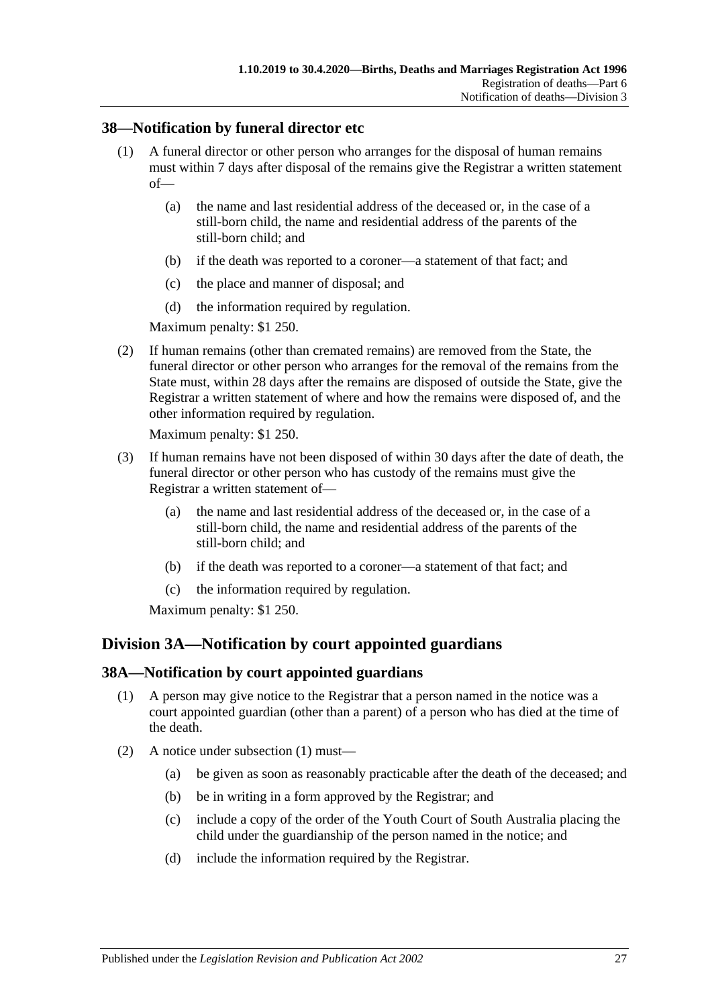### <span id="page-26-0"></span>**38—Notification by funeral director etc**

- (1) A funeral director or other person who arranges for the disposal of human remains must within 7 days after disposal of the remains give the Registrar a written statement of—
	- (a) the name and last residential address of the deceased or, in the case of a still-born child, the name and residential address of the parents of the still-born child; and
	- (b) if the death was reported to a coroner—a statement of that fact; and
	- (c) the place and manner of disposal; and
	- (d) the information required by regulation.

Maximum penalty: \$1 250.

(2) If human remains (other than cremated remains) are removed from the State, the funeral director or other person who arranges for the removal of the remains from the State must, within 28 days after the remains are disposed of outside the State, give the Registrar a written statement of where and how the remains were disposed of, and the other information required by regulation.

Maximum penalty: \$1 250.

- (3) If human remains have not been disposed of within 30 days after the date of death, the funeral director or other person who has custody of the remains must give the Registrar a written statement of—
	- (a) the name and last residential address of the deceased or, in the case of a still-born child, the name and residential address of the parents of the still-born child; and
	- (b) if the death was reported to a coroner—a statement of that fact; and
	- (c) the information required by regulation.

Maximum penalty: \$1 250.

## <span id="page-26-1"></span>**Division 3A—Notification by court appointed guardians**

### <span id="page-26-3"></span><span id="page-26-2"></span>**38A—Notification by court appointed guardians**

- (1) A person may give notice to the Registrar that a person named in the notice was a court appointed guardian (other than a parent) of a person who has died at the time of the death.
- (2) A notice under [subsection](#page-26-3) (1) must—
	- (a) be given as soon as reasonably practicable after the death of the deceased; and
	- (b) be in writing in a form approved by the Registrar; and
	- (c) include a copy of the order of the Youth Court of South Australia placing the child under the guardianship of the person named in the notice; and
	- (d) include the information required by the Registrar.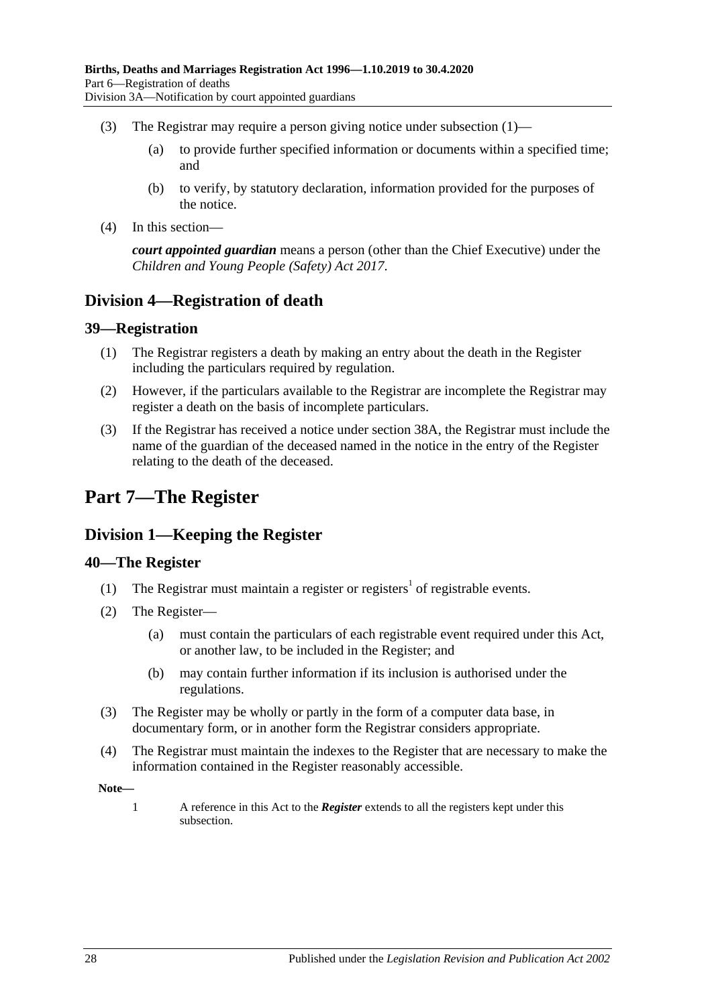- (3) The Registrar may require a person giving notice under [subsection](#page-26-3)  $(1)$ 
	- (a) to provide further specified information or documents within a specified time; and
	- (b) to verify, by statutory declaration, information provided for the purposes of the notice.
- (4) In this section—

*court appointed guardian* means a person (other than the Chief Executive) under the *[Children and Young People \(Safety\) Act](http://www.legislation.sa.gov.au/index.aspx?action=legref&type=act&legtitle=Children%20and%20Young%20People%20(Safety)%20Act%202017) 2017*.

## <span id="page-27-0"></span>**Division 4—Registration of death**

#### <span id="page-27-1"></span>**39—Registration**

- (1) The Registrar registers a death by making an entry about the death in the Register including the particulars required by regulation.
- (2) However, if the particulars available to the Registrar are incomplete the Registrar may register a death on the basis of incomplete particulars.
- (3) If the Registrar has received a notice under [section](#page-26-2) 38A, the Registrar must include the name of the guardian of the deceased named in the notice in the entry of the Register relating to the death of the deceased.

## <span id="page-27-2"></span>**Part 7—The Register**

## <span id="page-27-3"></span>**Division 1—Keeping the Register**

### <span id="page-27-4"></span>**40—The Register**

- (1) The Registrar must maintain a register or registers<sup>1</sup> of registrable events.
- <span id="page-27-5"></span>(2) The Register—
	- (a) must contain the particulars of each registrable event required under this Act, or another law, to be included in the Register; and
	- (b) may contain further information if its inclusion is authorised under the regulations.
- (3) The Register may be wholly or partly in the form of a computer data base, in documentary form, or in another form the Registrar considers appropriate.
- (4) The Registrar must maintain the indexes to the Register that are necessary to make the information contained in the Register reasonably accessible.

**Note—**

1 A reference in this Act to the *Register* extends to all the registers kept under this subsection.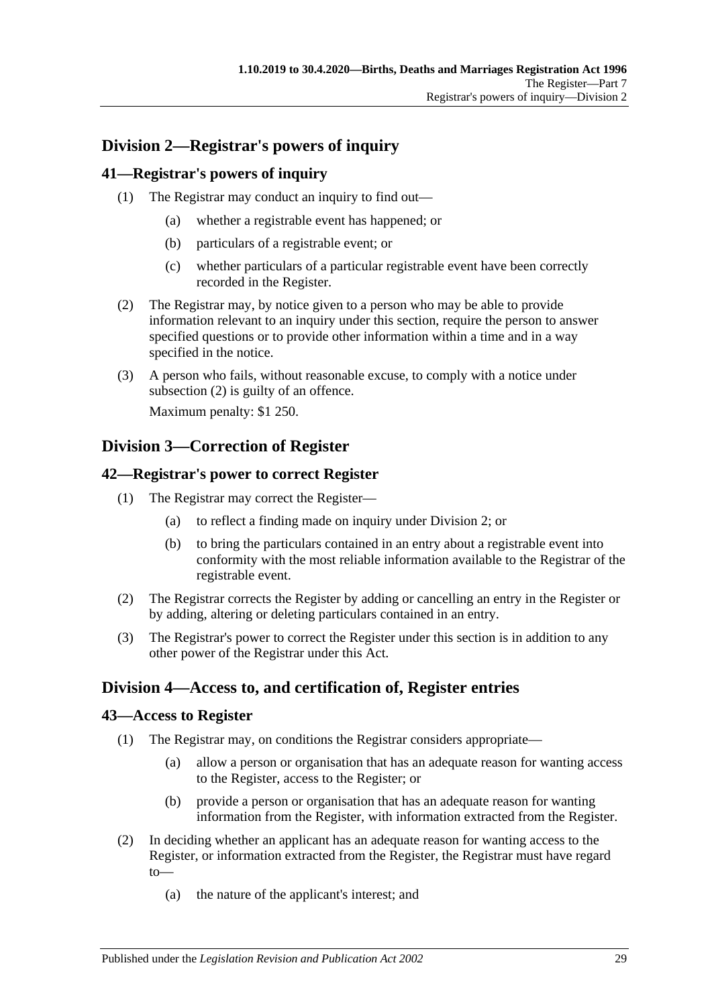## <span id="page-28-0"></span>**Division 2—Registrar's powers of inquiry**

## <span id="page-28-1"></span>**41—Registrar's powers of inquiry**

- (1) The Registrar may conduct an inquiry to find out—
	- (a) whether a registrable event has happened; or
	- (b) particulars of a registrable event; or
	- (c) whether particulars of a particular registrable event have been correctly recorded in the Register.
- <span id="page-28-6"></span>(2) The Registrar may, by notice given to a person who may be able to provide information relevant to an inquiry under this section, require the person to answer specified questions or to provide other information within a time and in a way specified in the notice.
- (3) A person who fails, without reasonable excuse, to comply with a notice under [subsection](#page-28-6) (2) is guilty of an offence.

Maximum penalty: \$1 250.

## <span id="page-28-2"></span>**Division 3—Correction of Register**

### <span id="page-28-3"></span>**42—Registrar's power to correct Register**

- (1) The Registrar may correct the Register—
	- (a) to reflect a finding made on inquiry under [Division 2;](#page-28-0) or
	- (b) to bring the particulars contained in an entry about a registrable event into conformity with the most reliable information available to the Registrar of the registrable event.
- (2) The Registrar corrects the Register by adding or cancelling an entry in the Register or by adding, altering or deleting particulars contained in an entry.
- (3) The Registrar's power to correct the Register under this section is in addition to any other power of the Registrar under this Act.

## <span id="page-28-4"></span>**Division 4—Access to, and certification of, Register entries**

### <span id="page-28-5"></span>**43—Access to Register**

- (1) The Registrar may, on conditions the Registrar considers appropriate—
	- (a) allow a person or organisation that has an adequate reason for wanting access to the Register, access to the Register; or
	- (b) provide a person or organisation that has an adequate reason for wanting information from the Register, with information extracted from the Register.
- (2) In deciding whether an applicant has an adequate reason for wanting access to the Register, or information extracted from the Register, the Registrar must have regard to—
	- (a) the nature of the applicant's interest; and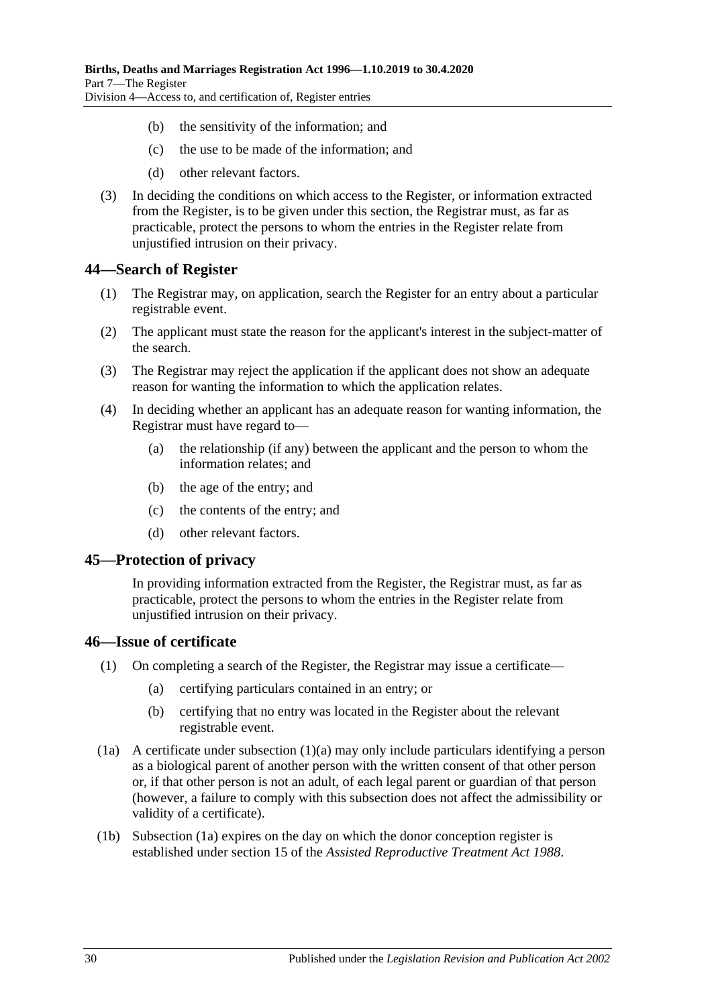- (b) the sensitivity of the information; and
- (c) the use to be made of the information; and
- (d) other relevant factors.
- (3) In deciding the conditions on which access to the Register, or information extracted from the Register, is to be given under this section, the Registrar must, as far as practicable, protect the persons to whom the entries in the Register relate from unjustified intrusion on their privacy.

#### <span id="page-29-0"></span>**44—Search of Register**

- (1) The Registrar may, on application, search the Register for an entry about a particular registrable event.
- (2) The applicant must state the reason for the applicant's interest in the subject-matter of the search.
- (3) The Registrar may reject the application if the applicant does not show an adequate reason for wanting the information to which the application relates.
- (4) In deciding whether an applicant has an adequate reason for wanting information, the Registrar must have regard to—
	- (a) the relationship (if any) between the applicant and the person to whom the information relates; and
	- (b) the age of the entry; and
	- (c) the contents of the entry; and
	- (d) other relevant factors.

#### <span id="page-29-1"></span>**45—Protection of privacy**

In providing information extracted from the Register, the Registrar must, as far as practicable, protect the persons to whom the entries in the Register relate from unjustified intrusion on their privacy.

#### <span id="page-29-2"></span>**46—Issue of certificate**

- <span id="page-29-3"></span>(1) On completing a search of the Register, the Registrar may issue a certificate—
	- (a) certifying particulars contained in an entry; or
	- (b) certifying that no entry was located in the Register about the relevant registrable event.
- <span id="page-29-4"></span>(1a) A certificate under [subsection](#page-29-3) (1)(a) may only include particulars identifying a person as a biological parent of another person with the written consent of that other person or, if that other person is not an adult, of each legal parent or guardian of that person (however, a failure to comply with this subsection does not affect the admissibility or validity of a certificate).
- (1b) [Subsection](#page-29-4) (1a) expires on the day on which the donor conception register is established under section 15 of the *[Assisted Reproductive Treatment Act](http://www.legislation.sa.gov.au/index.aspx?action=legref&type=act&legtitle=Assisted%20Reproductive%20Treatment%20Act%201988) 1988*.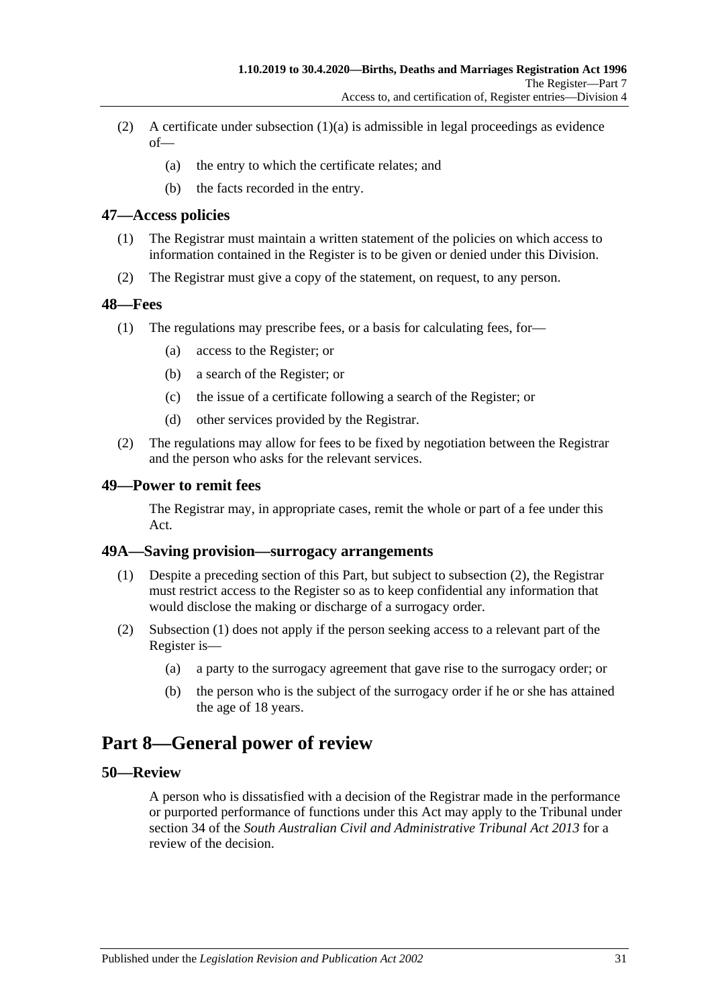- (2) A certificate under [subsection](#page-29-3)  $(1)(a)$  is admissible in legal proceedings as evidence  $of$ —
	- (a) the entry to which the certificate relates; and
	- (b) the facts recorded in the entry.

#### <span id="page-30-0"></span>**47—Access policies**

- (1) The Registrar must maintain a written statement of the policies on which access to information contained in the Register is to be given or denied under this Division.
- (2) The Registrar must give a copy of the statement, on request, to any person.

#### <span id="page-30-1"></span>**48—Fees**

- (1) The regulations may prescribe fees, or a basis for calculating fees, for—
	- (a) access to the Register; or
	- (b) a search of the Register; or
	- (c) the issue of a certificate following a search of the Register; or
	- (d) other services provided by the Registrar.
- (2) The regulations may allow for fees to be fixed by negotiation between the Registrar and the person who asks for the relevant services.

#### <span id="page-30-2"></span>**49—Power to remit fees**

The Registrar may, in appropriate cases, remit the whole or part of a fee under this Act.

#### <span id="page-30-7"></span><span id="page-30-3"></span>**49A—Saving provision—surrogacy arrangements**

- (1) Despite a preceding section of this Part, but subject to [subsection](#page-30-6) (2), the Registrar must restrict access to the Register so as to keep confidential any information that would disclose the making or discharge of a surrogacy order.
- <span id="page-30-6"></span>(2) [Subsection](#page-30-7) (1) does not apply if the person seeking access to a relevant part of the Register is—
	- (a) a party to the surrogacy agreement that gave rise to the surrogacy order; or
	- (b) the person who is the subject of the surrogacy order if he or she has attained the age of 18 years.

## <span id="page-30-4"></span>**Part 8—General power of review**

### <span id="page-30-5"></span>**50—Review**

A person who is dissatisfied with a decision of the Registrar made in the performance or purported performance of functions under this Act may apply to the Tribunal under section 34 of the *[South Australian Civil and Administrative Tribunal Act](http://www.legislation.sa.gov.au/index.aspx?action=legref&type=act&legtitle=South%20Australian%20Civil%20and%20Administrative%20Tribunal%20Act%202013) 2013* for a review of the decision.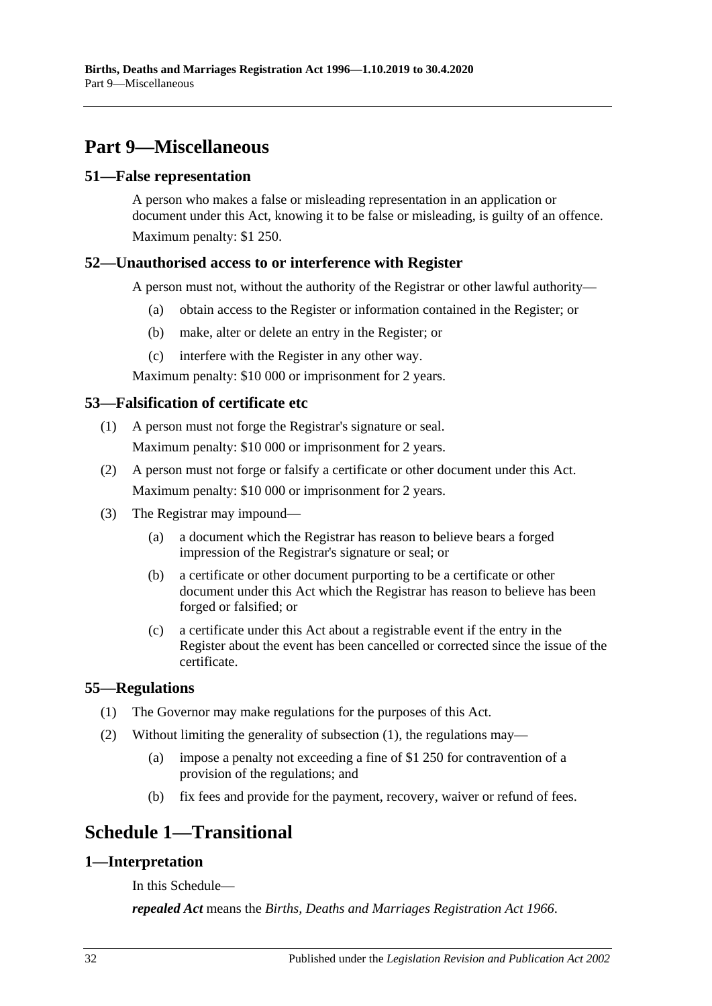## <span id="page-31-0"></span>**Part 9—Miscellaneous**

#### <span id="page-31-1"></span>**51—False representation**

A person who makes a false or misleading representation in an application or document under this Act, knowing it to be false or misleading, is guilty of an offence. Maximum penalty: \$1 250.

## <span id="page-31-2"></span>**52—Unauthorised access to or interference with Register**

A person must not, without the authority of the Registrar or other lawful authority—

- (a) obtain access to the Register or information contained in the Register; or
- (b) make, alter or delete an entry in the Register; or
- (c) interfere with the Register in any other way.

Maximum penalty: \$10 000 or imprisonment for 2 years.

## <span id="page-31-3"></span>**53—Falsification of certificate etc**

- (1) A person must not forge the Registrar's signature or seal. Maximum penalty: \$10 000 or imprisonment for 2 years.
- (2) A person must not forge or falsify a certificate or other document under this Act. Maximum penalty: \$10 000 or imprisonment for 2 years.
- (3) The Registrar may impound—
	- (a) a document which the Registrar has reason to believe bears a forged impression of the Registrar's signature or seal; or
	- (b) a certificate or other document purporting to be a certificate or other document under this Act which the Registrar has reason to believe has been forged or falsified; or
	- (c) a certificate under this Act about a registrable event if the entry in the Register about the event has been cancelled or corrected since the issue of the certificate.

### <span id="page-31-7"></span><span id="page-31-4"></span>**55—Regulations**

- (1) The Governor may make regulations for the purposes of this Act.
- (2) Without limiting the generality of [subsection](#page-31-7) (1), the regulations may—
	- (a) impose a penalty not exceeding a fine of \$1 250 for contravention of a provision of the regulations; and
	- (b) fix fees and provide for the payment, recovery, waiver or refund of fees.

## <span id="page-31-5"></span>**Schedule 1—Transitional**

## <span id="page-31-6"></span>**1—Interpretation**

In this Schedule—

*repealed Act* means the *[Births, Deaths and Marriages Registration Act](http://www.legislation.sa.gov.au/index.aspx?action=legref&type=act&legtitle=Births%20Deaths%20and%20Marriages%20Registration%20Act%201966) 1966*.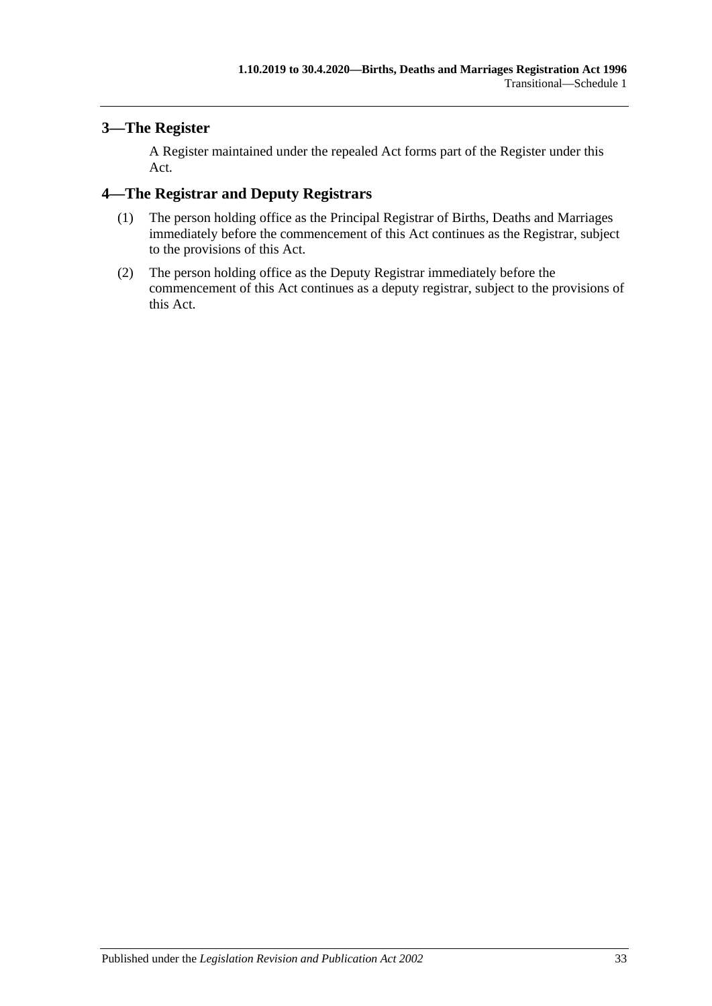## <span id="page-32-0"></span>**3—The Register**

A Register maintained under the repealed Act forms part of the Register under this Act.

## <span id="page-32-1"></span>**4—The Registrar and Deputy Registrars**

- (1) The person holding office as the Principal Registrar of Births, Deaths and Marriages immediately before the commencement of this Act continues as the Registrar, subject to the provisions of this Act.
- (2) The person holding office as the Deputy Registrar immediately before the commencement of this Act continues as a deputy registrar, subject to the provisions of this Act.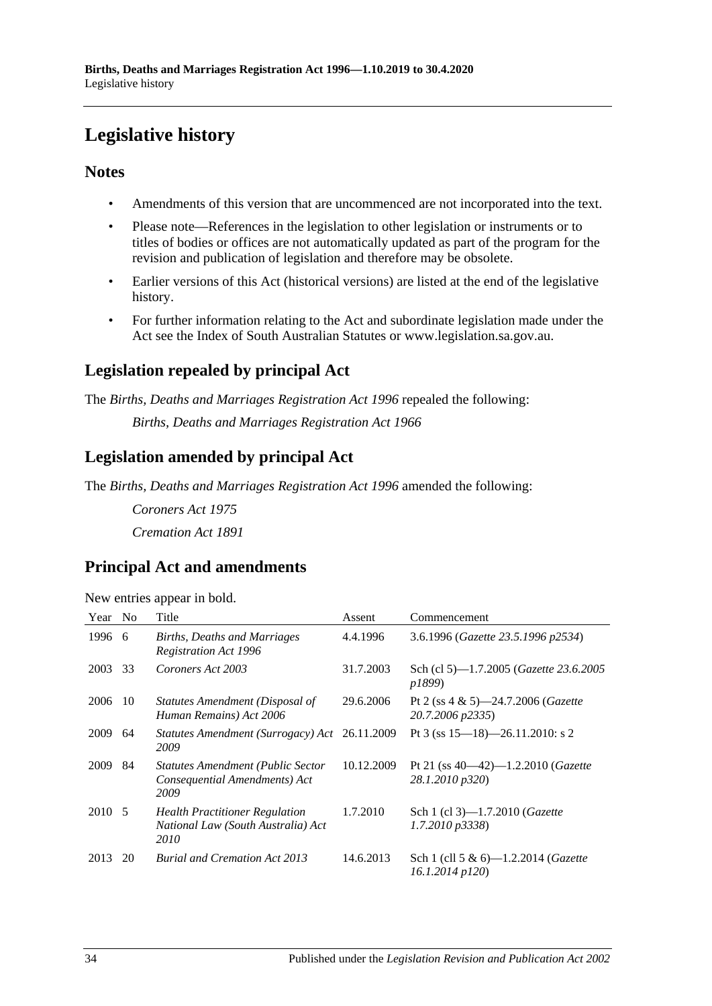# <span id="page-33-0"></span>**Legislative history**

## **Notes**

- Amendments of this version that are uncommenced are not incorporated into the text.
- Please note—References in the legislation to other legislation or instruments or to titles of bodies or offices are not automatically updated as part of the program for the revision and publication of legislation and therefore may be obsolete.
- Earlier versions of this Act (historical versions) are listed at the end of the legislative history.
- For further information relating to the Act and subordinate legislation made under the Act see the Index of South Australian Statutes or www.legislation.sa.gov.au.

## **Legislation repealed by principal Act**

The *Births, Deaths and Marriages Registration Act 1996* repealed the following:

*Births, Deaths and Marriages Registration Act 1966*

## **Legislation amended by principal Act**

The *Births, Deaths and Marriages Registration Act 1996* amended the following:

*Coroners Act 1975 Cremation Act 1891*

## **Principal Act and amendments**

| New entries appear in bold. |  |  |
|-----------------------------|--|--|
|                             |  |  |
|                             |  |  |
|                             |  |  |

| Year   | N <sub>o</sub> | Title                                                                               | Assent     | Commencement                                                       |
|--------|----------------|-------------------------------------------------------------------------------------|------------|--------------------------------------------------------------------|
| 1996   | -6             | Births, Deaths and Marriages<br><b>Registration Act 1996</b>                        | 4.4.1996   | 3.6.1996 (Gazette 23.5.1996 p2534)                                 |
| 2003   | 33             | Coroners Act 2003                                                                   | 31.7.2003  | Sch (cl 5)—1.7.2005 ( <i>Gazette 23.6.2005</i><br>p1899)           |
| 2006   | -10            | Statutes Amendment (Disposal of<br>Human Remains) Act 2006                          | 29.6.2006  | Pt 2 (ss $4 \& 5$ )—24.7.2006 ( <i>Gazette</i><br>20.7.2006 p2335) |
| 2009   | 64             | Statutes Amendment (Surrogacy) Act<br>2009                                          | 26.11.2009 | Pt 3 (ss $15 - 18$ ) - 26.11.2010: s 2                             |
| 2009   | 84             | <b>Statutes Amendment (Public Sector</b><br>Consequential Amendments) Act<br>2009   | 10.12.2009 | Pt 21 (ss $40-42$ )-1.2.2010 ( <i>Gazette</i><br>28.1.2010 p320)   |
| 2010 5 |                | <b>Health Practitioner Regulation</b><br>National Law (South Australia) Act<br>2010 | 1.7.2010   | Sch 1 (cl 3)-1.7.2010 ( <i>Gazette</i><br>$1.7.2010 \text{ p}3338$ |
| 2013   | 20             | <b>Burial and Cremation Act 2013</b>                                                | 14.6.2013  | Sch 1 (cll 5 & 6)-1.2.2014 ( <i>Gazette</i><br>16.1.2014 p120)     |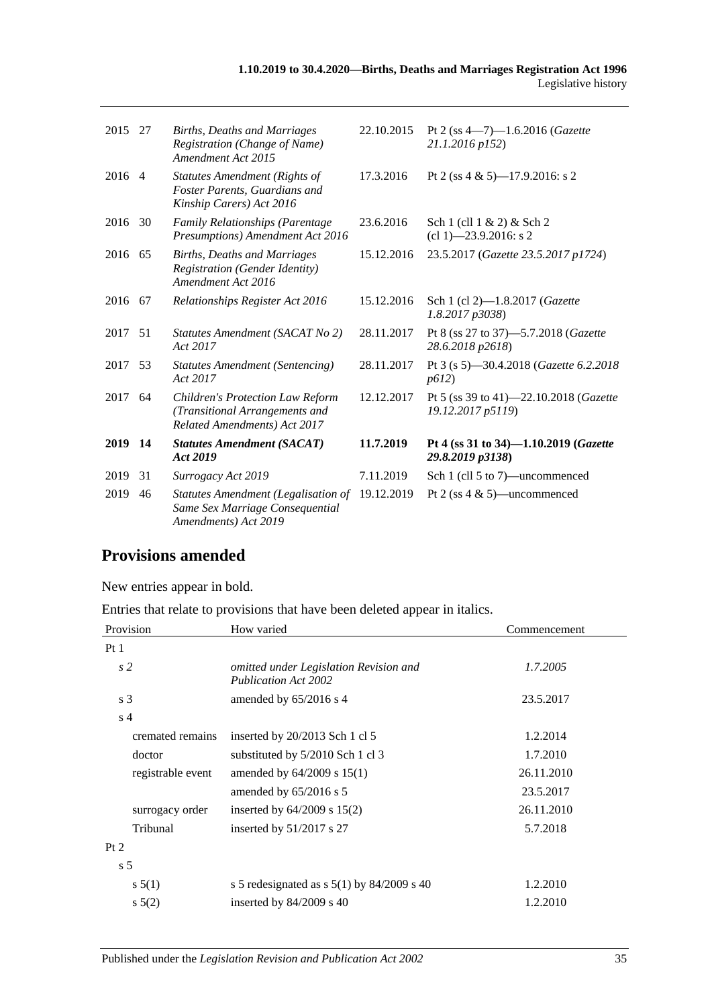| 2015 27 |    | Births, Deaths and Marriages<br>Registration (Change of Name)<br>Amendment Act 2015                       | 22.10.2015 | Pt 2 (ss $4 - 7$ )-1.6.2016 (Gazette<br>21.1.2016 p152)         |
|---------|----|-----------------------------------------------------------------------------------------------------------|------------|-----------------------------------------------------------------|
| 2016 4  |    | <b>Statutes Amendment (Rights of</b><br>Foster Parents, Guardians and<br>Kinship Carers) Act 2016         | 17.3.2016  | Pt 2 (ss 4 & 5)-17.9.2016: s 2                                  |
| 2016 30 |    | <b>Family Relationships (Parentage</b><br>Presumptions) Amendment Act 2016                                | 23.6.2016  | Sch $1$ (cll $1 \& 2$ ) $\&$ Sch $2$<br>$cl$ 1) -23.9.2016: s 2 |
| 2016 65 |    | Births, Deaths and Marriages<br><b>Registration (Gender Identity)</b><br>Amendment Act 2016               | 15.12.2016 | 23.5.2017 (Gazette 23.5.2017 p1724)                             |
| 2016 67 |    | Relationships Register Act 2016                                                                           | 15.12.2016 | Sch 1 (cl 2)-1.8.2017 (Gazette<br>1.8.2017p3038                 |
| 2017 51 |    | Statutes Amendment (SACAT No 2)<br>Act 2017                                                               | 28.11.2017 | Pt 8 (ss 27 to 37)-5.7.2018 (Gazette<br>28.6.2018 p2618)        |
| 2017    | 53 | <b>Statutes Amendment (Sentencing)</b><br>Act 2017                                                        | 28.11.2017 | Pt 3 (s 5)-30.4.2018 (Gazette 6.2.2018<br>p612)                 |
| 2017    | 64 | <b>Children's Protection Law Reform</b><br>(Transitional Arrangements and<br>Related Amendments) Act 2017 | 12.12.2017 | Pt 5 (ss 39 to 41)-22.10.2018 (Gazette<br>19.12.2017 p5119)     |
| 2019 14 |    | <b>Statutes Amendment (SACAT)</b><br>Act 2019                                                             | 11.7.2019  | Pt 4 (ss 31 to 34)-1.10.2019 (Gazette<br>29.8.2019 p3138)       |
| 2019    | 31 | Surrogacy Act 2019                                                                                        | 7.11.2019  | Sch 1 (cll 5 to 7)—uncommenced                                  |
| 2019    | 46 | Statutes Amendment (Legalisation of<br>Same Sex Marriage Consequential<br>Amendments) Act 2019            | 19.12.2019 | Pt 2 (ss $4 \& 5$ )—uncommenced                                 |

## **Provisions amended**

New entries appear in bold.

Entries that relate to provisions that have been deleted appear in italics.

| Provision         | How varied                                                            | Commencement |
|-------------------|-----------------------------------------------------------------------|--------------|
| Pt <sub>1</sub>   |                                                                       |              |
| s2                | omitted under Legislation Revision and<br><b>Publication Act 2002</b> | 1.7.2005     |
| s <sub>3</sub>    | amended by $65/2016$ s 4                                              | 23.5.2017    |
| s <sub>4</sub>    |                                                                       |              |
| cremated remains  | inserted by 20/2013 Sch 1 cl 5                                        | 1.2.2014     |
| doctor            | substituted by 5/2010 Sch 1 cl 3                                      | 1.7.2010     |
| registrable event | amended by $64/2009$ s $15(1)$                                        | 26.11.2010   |
|                   | amended by $65/2016$ s 5                                              | 23.5.2017    |
| surrogacy order   | inserted by $64/2009$ s $15(2)$                                       | 26.11.2010   |
| Tribunal          | inserted by $51/2017$ s 27                                            | 5.7.2018     |
| Pt 2              |                                                                       |              |
| s <sub>5</sub>    |                                                                       |              |
| s 5(1)            | s 5 redesignated as $s$ 5(1) by 84/2009 s 40                          | 1.2.2010     |
| $s\,5(2)$         | inserted by $84/2009$ s 40                                            | 1.2.2010     |
|                   |                                                                       |              |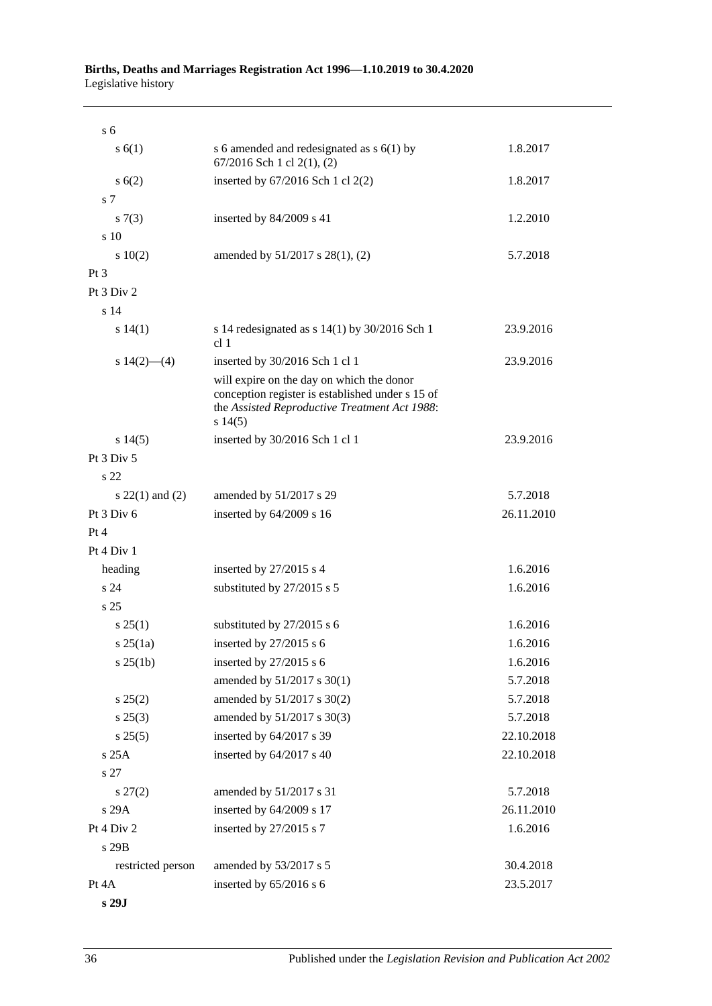#### **Births, Deaths and Marriages Registration Act 1996—1.10.2019 to 30.4.2020** Legislative history

| s <sub>6</sub>    |                                                                                                                                                              |            |
|-------------------|--------------------------------------------------------------------------------------------------------------------------------------------------------------|------------|
| s(6(1))           | s 6 amended and redesignated as $s$ 6(1) by<br>67/2016 Sch 1 cl 2(1), (2)                                                                                    | 1.8.2017   |
| s(6(2)            | inserted by 67/2016 Sch 1 cl 2(2)                                                                                                                            | 1.8.2017   |
| s <sub>7</sub>    |                                                                                                                                                              |            |
| s(7(3))           | inserted by 84/2009 s 41                                                                                                                                     | 1.2.2010   |
| s 10              |                                                                                                                                                              |            |
| 10(2)             | amended by 51/2017 s 28(1), (2)                                                                                                                              | 5.7.2018   |
| $Pt\,3$           |                                                                                                                                                              |            |
| Pt 3 Div 2        |                                                                                                                                                              |            |
| s <sub>14</sub>   |                                                                                                                                                              |            |
| s 14(1)           | s 14 redesignated as $s$ 14(1) by 30/2016 Sch 1<br>cl <sub>1</sub>                                                                                           | 23.9.2016  |
| s $14(2)$ — $(4)$ | inserted by 30/2016 Sch 1 cl 1                                                                                                                               | 23.9.2016  |
|                   | will expire on the day on which the donor<br>conception register is established under s 15 of<br>the Assisted Reproductive Treatment Act 1988:<br>$s\ 14(5)$ |            |
| $s\,14(5)$        | inserted by 30/2016 Sch 1 cl 1                                                                                                                               | 23.9.2016  |
| Pt 3 Div 5        |                                                                                                                                                              |            |
| s <sub>22</sub>   |                                                                                                                                                              |            |
| $s$ 22(1) and (2) | amended by 51/2017 s 29                                                                                                                                      | 5.7.2018   |
| Pt 3 Div 6        | inserted by 64/2009 s 16                                                                                                                                     | 26.11.2010 |
| Pt 4              |                                                                                                                                                              |            |
| Pt 4 Div 1        |                                                                                                                                                              |            |
| heading           | inserted by 27/2015 s 4                                                                                                                                      | 1.6.2016   |
| s <sub>24</sub>   | substituted by 27/2015 s 5                                                                                                                                   | 1.6.2016   |
| s <sub>25</sub>   |                                                                                                                                                              |            |
| $s\,25(1)$        | substituted by 27/2015 s 6                                                                                                                                   | 1.6.2016   |
| $s \, 25(1a)$     | inserted by $27/2015$ s 6                                                                                                                                    | 1.6.2016   |
| s 25(1b)          | inserted by 27/2015 s 6                                                                                                                                      | 1.6.2016   |
|                   | amended by 51/2017 s 30(1)                                                                                                                                   | 5.7.2018   |
| s 25(2)           | amended by 51/2017 s 30(2)                                                                                                                                   | 5.7.2018   |
| $s\,25(3)$        | amended by 51/2017 s 30(3)                                                                                                                                   | 5.7.2018   |
| $s\,25(5)$        | inserted by 64/2017 s 39                                                                                                                                     | 22.10.2018 |
| s 25A             | inserted by 64/2017 s 40                                                                                                                                     | 22.10.2018 |
| s 27              |                                                                                                                                                              |            |
| $s\,27(2)$        | amended by 51/2017 s 31                                                                                                                                      | 5.7.2018   |
| s 29A             | inserted by 64/2009 s 17                                                                                                                                     | 26.11.2010 |
| Pt 4 Div 2        | inserted by 27/2015 s 7                                                                                                                                      | 1.6.2016   |
| s 29B             |                                                                                                                                                              |            |
| restricted person | amended by 53/2017 s 5                                                                                                                                       | 30.4.2018  |
| Pt 4A             | inserted by 65/2016 s 6                                                                                                                                      | 23.5.2017  |
| s 29J             |                                                                                                                                                              |            |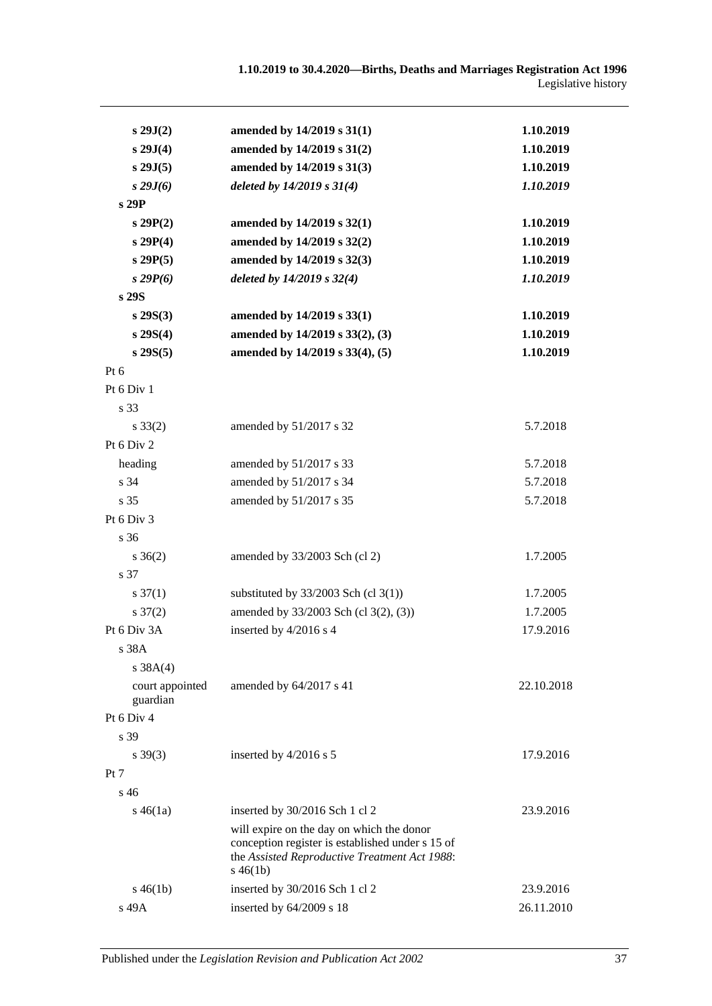| s 29J(2)                    | amended by 14/2019 s 31(1)                                                                                                                                    | 1.10.2019  |
|-----------------------------|---------------------------------------------------------------------------------------------------------------------------------------------------------------|------------|
| s 29J(4)                    | amended by 14/2019 s 31(2)                                                                                                                                    | 1.10.2019  |
| $s$ 29J $(5)$               | amended by 14/2019 s 31(3)                                                                                                                                    | 1.10.2019  |
| $s\,29J(6)$                 | deleted by $14/2019 s 31(4)$                                                                                                                                  | 1.10.2019  |
| s 29P                       |                                                                                                                                                               |            |
| s29P(2)                     | amended by 14/2019 s 32(1)                                                                                                                                    | 1.10.2019  |
| s 29P(4)                    | amended by 14/2019 s 32(2)                                                                                                                                    | 1.10.2019  |
| s29P(5)                     | amended by 14/2019 s 32(3)                                                                                                                                    | 1.10.2019  |
| s29P(6)                     | deleted by $14/2019$ s $32(4)$                                                                                                                                | 1.10.2019  |
| s 29S                       |                                                                                                                                                               |            |
| $s\,29S(3)$                 | amended by 14/2019 s 33(1)                                                                                                                                    | 1.10.2019  |
| s 29S(4)                    | amended by 14/2019 s 33(2), (3)                                                                                                                               | 1.10.2019  |
| $s\,29S(5)$                 | amended by 14/2019 s 33(4), (5)                                                                                                                               | 1.10.2019  |
| Pt $6$                      |                                                                                                                                                               |            |
| Pt 6 Div 1                  |                                                                                                                                                               |            |
| s 33                        |                                                                                                                                                               |            |
| $s \, 33(2)$                | amended by 51/2017 s 32                                                                                                                                       | 5.7.2018   |
| Pt 6 Div 2                  |                                                                                                                                                               |            |
| heading                     | amended by 51/2017 s 33                                                                                                                                       | 5.7.2018   |
| s 34                        | amended by 51/2017 s 34                                                                                                                                       | 5.7.2018   |
| s 35                        | amended by 51/2017 s 35                                                                                                                                       | 5.7.2018   |
| Pt 6 Div 3                  |                                                                                                                                                               |            |
| s 36                        |                                                                                                                                                               |            |
| $s \, 36(2)$                | amended by 33/2003 Sch (cl 2)                                                                                                                                 | 1.7.2005   |
| s 37                        |                                                                                                                                                               |            |
| $s \frac{37(1)}{2}$         | substituted by $33/2003$ Sch (cl 3(1))                                                                                                                        | 1.7.2005   |
| $s \frac{37(2)}{2}$         | amended by 33/2003 Sch (cl 3(2), (3))                                                                                                                         | 1.7.2005   |
| Pt 6 Div 3A                 | inserted by 4/2016 s 4                                                                                                                                        | 17.9.2016  |
| s 38A                       |                                                                                                                                                               |            |
| s $38A(4)$                  |                                                                                                                                                               |            |
| court appointed<br>guardian | amended by 64/2017 s 41                                                                                                                                       | 22.10.2018 |
| Pt 6 Div 4                  |                                                                                                                                                               |            |
| s 39                        |                                                                                                                                                               |            |
| $s \, 39(3)$                | inserted by 4/2016 s 5                                                                                                                                        | 17.9.2016  |
| Pt 7                        |                                                                                                                                                               |            |
| s 46                        |                                                                                                                                                               |            |
| $s\,46(1a)$                 | inserted by 30/2016 Sch 1 cl 2                                                                                                                                | 23.9.2016  |
|                             | will expire on the day on which the donor<br>conception register is established under s 15 of<br>the Assisted Reproductive Treatment Act 1988:<br>$s\,46(1b)$ |            |
| $s\,46(1b)$                 | inserted by 30/2016 Sch 1 cl 2                                                                                                                                | 23.9.2016  |
| s 49A                       | inserted by 64/2009 s 18                                                                                                                                      | 26.11.2010 |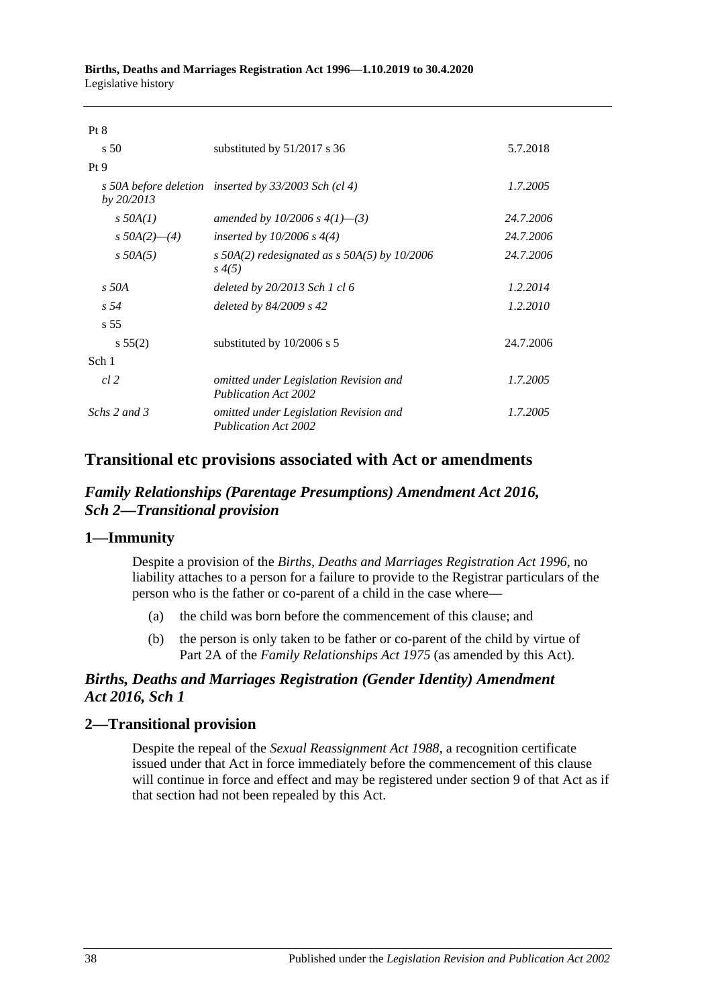| Pt 8               |                                                                       |           |
|--------------------|-----------------------------------------------------------------------|-----------|
| s <sub>50</sub>    | substituted by $51/2017$ s 36                                         | 5.7.2018  |
| Pt9                |                                                                       |           |
| by $20/2013$       | s 50A before deletion inserted by $33/2003$ Sch (cl 4)                | 1.7.2005  |
| $s$ 50A(1)         | amended by 10/2006 s $4(1)$ —(3)                                      | 24.7.2006 |
| s $50A(2)$ — $(4)$ | inserted by $10/2006$ s $4(4)$                                        | 24.7.2006 |
| $s$ 50A(5)         | s 50A(2) redesignated as s 50A(5) by $10/2006$<br>s(4(5))             | 24.7.2006 |
| $s$ 50A            | deleted by $20/2013$ Sch 1 cl 6                                       | 1.2.2014  |
| s 54               | deleted by $84/2009$ s 42                                             | 1.2.2010  |
| s <sub>55</sub>    |                                                                       |           |
| s 55(2)            | substituted by $10/2006$ s 5                                          | 24.7.2006 |
| Sch 1              |                                                                       |           |
| cl 2               | omitted under Legislation Revision and<br><b>Publication Act 2002</b> | 1.7.2005  |
| Schs 2 and 3       | omitted under Legislation Revision and<br><b>Publication Act 2002</b> | 1.7.2005  |

## **Transitional etc provisions associated with Act or amendments**

## *Family Relationships (Parentage Presumptions) Amendment Act 2016, Sch 2—Transitional provision*

### **1—Immunity**

Despite a provision of the *[Births, Deaths and Marriages Registration Act](http://www.legislation.sa.gov.au/index.aspx?action=legref&type=act&legtitle=Births%20Deaths%20and%20Marriages%20Registration%20Act%201996) 1996*, no liability attaches to a person for a failure to provide to the Registrar particulars of the person who is the father or co-parent of a child in the case where—

- (a) the child was born before the commencement of this clause; and
- (b) the person is only taken to be father or co-parent of the child by virtue of Part 2A of the *[Family Relationships Act](http://www.legislation.sa.gov.au/index.aspx?action=legref&type=act&legtitle=Family%20Relationships%20Act%201975) 1975* (as amended by this Act).

## *Births, Deaths and Marriages Registration (Gender Identity) Amendment Act 2016, Sch 1*

## **2—Transitional provision**

Despite the repeal of the *[Sexual Reassignment Act](http://www.legislation.sa.gov.au/index.aspx?action=legref&type=act&legtitle=Sexual%20Reassignment%20Act%201988) 1988*, a recognition certificate issued under that Act in force immediately before the commencement of this clause will continue in force and effect and may be registered under section 9 of that Act as if that section had not been repealed by this Act.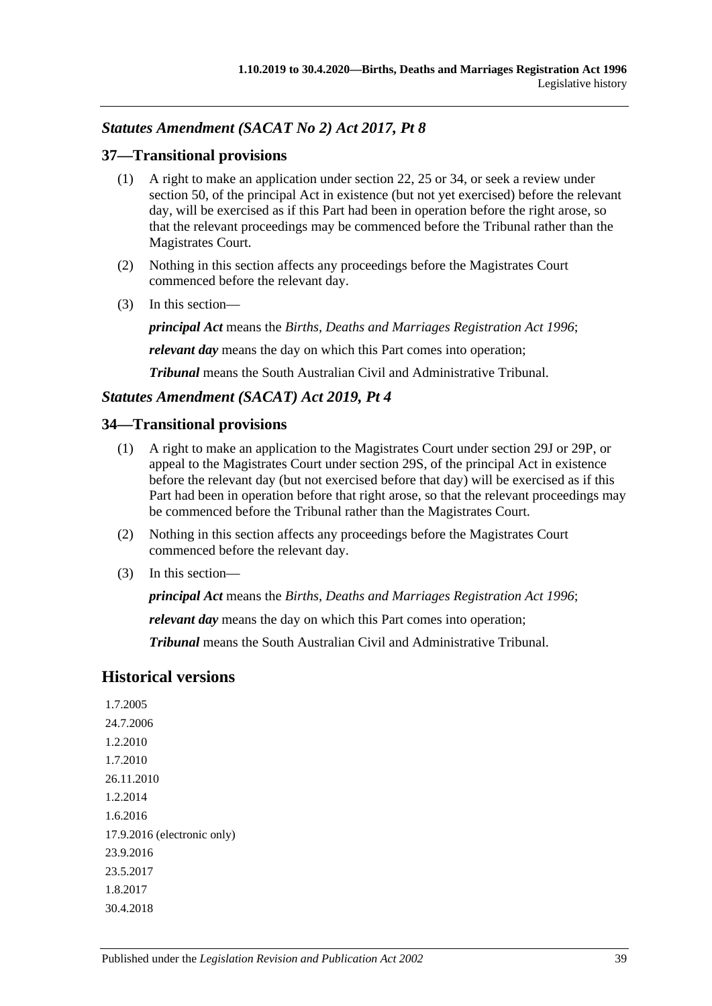## *Statutes Amendment (SACAT No 2) Act 2017, Pt 8*

#### **37—Transitional provisions**

- (1) A right to make an application under section 22, 25 or 34, or seek a review under section 50, of the principal Act in existence (but not yet exercised) before the relevant day, will be exercised as if this Part had been in operation before the right arose, so that the relevant proceedings may be commenced before the Tribunal rather than the Magistrates Court.
- (2) Nothing in this section affects any proceedings before the Magistrates Court commenced before the relevant day.
- (3) In this section—

*principal Act* means the *[Births, Deaths and Marriages Registration Act](http://www.legislation.sa.gov.au/index.aspx?action=legref&type=act&legtitle=Births%20Deaths%20and%20Marriages%20Registration%20Act%201996) 1996*;

*relevant day* means the day on which this Part comes into operation;

*Tribunal* means the South Australian Civil and Administrative Tribunal.

#### *Statutes Amendment (SACAT) Act 2019, Pt 4*

#### **34—Transitional provisions**

- (1) A right to make an application to the Magistrates Court under section 29J or 29P, or appeal to the Magistrates Court under section 29S, of the principal Act in existence before the relevant day (but not exercised before that day) will be exercised as if this Part had been in operation before that right arose, so that the relevant proceedings may be commenced before the Tribunal rather than the Magistrates Court.
- (2) Nothing in this section affects any proceedings before the Magistrates Court commenced before the relevant day.
- (3) In this section—

*principal Act* means the *[Births, Deaths and Marriages Registration Act](http://www.legislation.sa.gov.au/index.aspx?action=legref&type=act&legtitle=Births%20Deaths%20and%20Marriages%20Registration%20Act%201996) 1996*;

*relevant day* means the day on which this Part comes into operation;

*Tribunal* means the South Australian Civil and Administrative Tribunal.

## **Historical versions**

1.7.2005 24.7.2006 1.2.2010 1.7.2010 26.11.2010 1.2.2014 1.6.2016 17.9.2016 (electronic only) 23.9.2016 23.5.2017 1.8.2017 30.4.2018